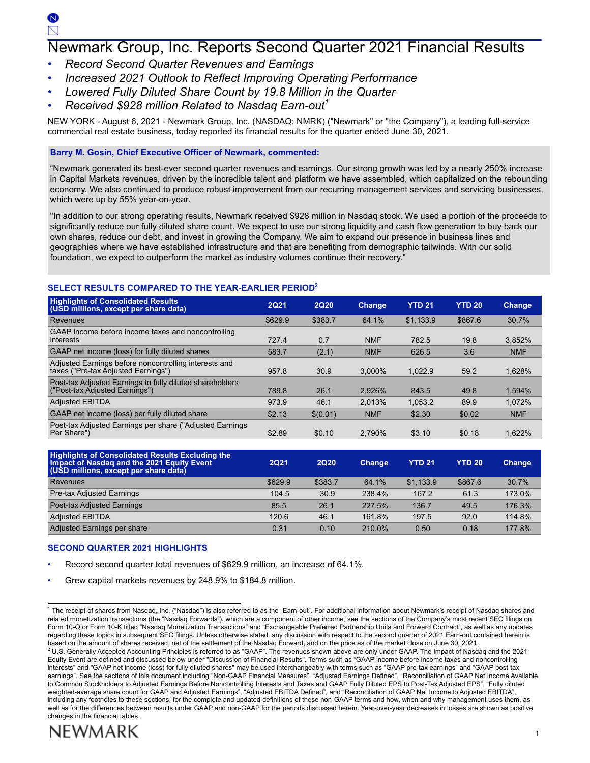# Newmark Group, Inc. Reports Second Quarter 2021 Financial Results

- *• Record Second Quarter Revenues and Earnings*
- *• Increased 2021 Outlook to Reflect Improving Operating Performance*
- *• Lowered Fully Diluted Share Count by 19.8 Million in the Quarter*
- *• Received \$928 million Related to Nasdaq Earn-out<sup>1</sup>*

NEW YORK - August 6, 2021 - Newmark Group, Inc. (NASDAQ: NMRK) ("Newmark" or "the Company"), a leading full-service commercial real estate business, today reported its financial results for the quarter ended June 30, 2021.

# **Barry M. Gosin, Chief Executive Officer of Newmark, commented:**

"Newmark generated its best-ever second quarter revenues and earnings. Our strong growth was led by a nearly 250% increase in Capital Markets revenues, driven by the incredible talent and platform we have assembled, which capitalized on the rebounding economy. We also continued to produce robust improvement from our recurring management services and servicing businesses, which were up by 55% year-on-year.

"In addition to our strong operating results, Newmark received \$928 million in Nasdaq stock. We used a portion of the proceeds to significantly reduce our fully diluted share count. We expect to use our strong liquidity and cash flow generation to buy back our own shares, reduce our debt, and invest in growing the Company. We aim to expand our presence in business lines and geographies where we have established infrastructure and that are benefiting from demographic tailwinds. With our solid foundation, we expect to outperform the market as industry volumes continue their recovery."

# **SELECT RESULTS COMPARED TO THE YEAR-EARLIER PERIOD<sup>2</sup>**

| <b>Highlights of Consolidated Results</b><br>(USD millions, except per share data)           | 2Q21    | <b>2Q20</b> | <b>Change</b> | <b>YTD 21</b> | <b>YTD 20</b> | <b>Change</b> |
|----------------------------------------------------------------------------------------------|---------|-------------|---------------|---------------|---------------|---------------|
| Revenues                                                                                     | \$629.9 | \$383.7     | 64.1%         | \$1.133.9     | \$867.6       | 30.7%         |
| GAAP income before income taxes and noncontrolling<br>interests                              | 727.4   | 0.7         | <b>NMF</b>    | 782.5         | 19.8          | 3,852%        |
| GAAP net income (loss) for fully diluted shares                                              | 583.7   | (2.1)       | <b>NMF</b>    | 626.5         | 3.6           | <b>NMF</b>    |
| Adjusted Earnings before noncontrolling interests and<br>taxes ("Pre-tax Adjusted Earnings") | 957.8   | 30.9        | 3.000%        | 1.022.9       | 59.2          | 1.628%        |
| Post-tax Adjusted Earnings to fully diluted shareholders<br>("Post-tax Adjusted Earnings")   | 789.8   | 26.1        | 2.926%        | 843.5         | 49.8          | 1.594%        |
| <b>Adjusted EBITDA</b>                                                                       | 973.9   | 46.1        | 2.013%        | 1.053.2       | 89.9          | 1.072%        |
| GAAP net income (loss) per fully diluted share                                               | \$2.13  | \$(0.01)    | <b>NMF</b>    | \$2.30        | \$0.02        | <b>NMF</b>    |
| Post-tax Adjusted Earnings per share ("Adjusted Earnings"<br>Per Share")                     | \$2.89  | \$0.10      | 2.790%        | \$3.10        | \$0.18        | 1.622%        |

| <b>Highlights of Consolidated Results Excluding the</b><br>Impact of Nasdag and the 2021 Equity Event<br>(USD millions, except per share data) | 2Q21    | <b>2Q20</b> | Change | <b>YTD 21</b> | <b>YTD 20</b> | <b>Change</b> |
|------------------------------------------------------------------------------------------------------------------------------------------------|---------|-------------|--------|---------------|---------------|---------------|
| Revenues                                                                                                                                       | \$629.9 | \$383.7     | 64.1%  | \$1.133.9     | \$867.6       | 30.7%         |
| <b>Pre-tax Adjusted Earnings</b>                                                                                                               | 104.5   | 30.9        | 238.4% | 167.2         | 61.3          | 173.0%        |
| <b>Post-tax Adjusted Earnings</b>                                                                                                              | 85.5    | 26.1        | 227.5% | 136.7         | 49.5          | 176.3%        |
| <b>Adjusted EBITDA</b>                                                                                                                         | 120.6   | 46.1        | 161.8% | 197.5         | 92.0          | 114.8%        |
| Adjusted Earnings per share                                                                                                                    | 0.31    | 0.10        | 210.0% | 0.50          | 0.18          | 177.8%        |

# **SECOND QUARTER 2021 HIGHLIGHTS**

- Record second quarter total revenues of \$629.9 million, an increase of 64.1%.
- Grew capital markets revenues by 248.9% to \$184.8 million.

<sup>&</sup>lt;sup>1</sup> The receipt of shares from Nasdaq, Inc. ("Nasdaq") is also referred to as the "Earn-out". For additional information about Newmark's receipt of Nasdaq shares and related monetization transactions (the "Nasdaq Forwards"), which are a component of other income, see the sections of the Company's most recent SEC filings on Form 10-Q or Form 10-K titled "Nasdaq Monetization Transactions" and "Exchangeable Preferred Partnership Units and Forward Contract", as well as any updates regarding these topics in subsequent SEC filings. Unless otherwise stated, any discussion with respect to the second quarter of 2021 Earn-out contained herein is based on the amount of shares received, net of the settlement of the Nasdaq Forward, and on the price as of the market close on June 30, 2021. 2 U.S. Generally Accepted Accounting Principles is referred to as "GAAP". The revenues shown above are only under GAAP. The Impact of Nasdaq and the 2021 Equity Event are defined and discussed below under "Discussion of Financial Results". Terms such as "GAAP income before income taxes and noncontrolling interests" and "GAAP net income (loss) for fully diluted shares" may be used interchangeably with terms such as "GAAP pre-tax earnings" and "GAAP post-tax earnings". See the sections of this document including "Non-GAAP Financial Measures", "Adjusted Earnings Defined", "Reconciliation of GAAP Net Income Available to Common Stockholders to Adjusted Earnings Before Noncontrolling Interests and Taxes and GAAP Fully Diluted EPS to Post-Tax Adjusted EPS", "Fully diluted weighted-average share count for GAAP and Adjusted Earnings", "Adjusted EBITDA Defined", and "Reconciliation of GAAP Net Income to Adjusted EBITDA", including any footnotes to these sections, for the complete and updated definitions of these non-GAAP terms and how, when and why management uses them, as well as for the differences between results under GAAP and non-GAAP for the periods discussed herein. Year-over-year decreases in losses are shown as positive changes in the financial tables.

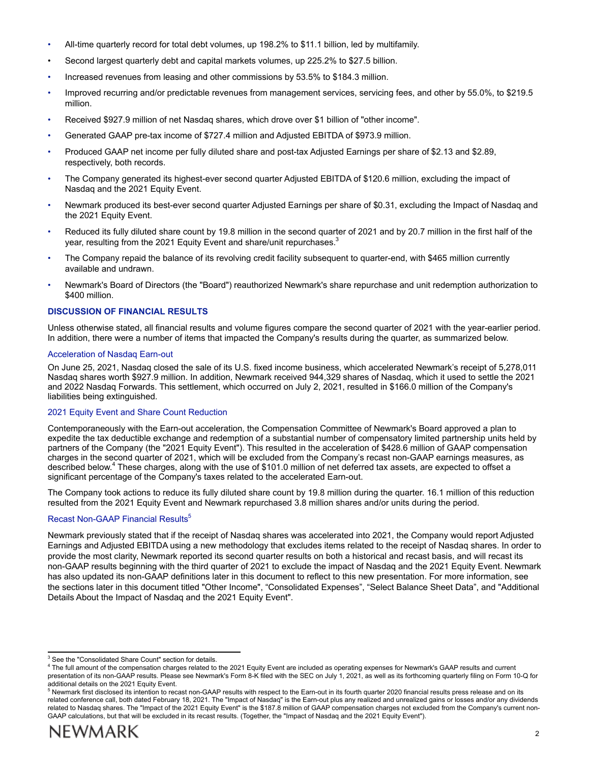- All-time quarterly record for total debt volumes, up 198.2% to \$11.1 billion, led by multifamily.
- Second largest quarterly debt and capital markets volumes, up 225.2% to \$27.5 billion.
- Increased revenues from leasing and other commissions by 53.5% to \$184.3 million.
- Improved recurring and/or predictable revenues from management services, servicing fees, and other by 55.0%, to \$219.5 million.
- Received \$927.9 million of net Nasdaq shares, which drove over \$1 billion of "other income".
- Generated GAAP pre-tax income of \$727.4 million and Adjusted EBITDA of \$973.9 million.
- Produced GAAP net income per fully diluted share and post-tax Adjusted Earnings per share of \$2.13 and \$2.89, respectively, both records.
- The Company generated its highest-ever second quarter Adjusted EBITDA of \$120.6 million, excluding the impact of Nasdaq and the 2021 Equity Event.
- Newmark produced its best-ever second quarter Adjusted Earnings per share of \$0.31, excluding the Impact of Nasdaq and the 2021 Equity Event.
- Reduced its fully diluted share count by 19.8 million in the second quarter of 2021 and by 20.7 million in the first half of the year, resulting from the 2021 Equity Event and share/unit repurchases.<sup>3</sup>
- The Company repaid the balance of its revolving credit facility subsequent to quarter-end, with \$465 million currently available and undrawn.
- Newmark's Board of Directors (the "Board") reauthorized Newmark's share repurchase and unit redemption authorization to \$400 million.

### **DISCUSSION OF FINANCIAL RESULTS**

Unless otherwise stated, all financial results and volume figures compare the second quarter of 2021 with the year-earlier period. In addition, there were a number of items that impacted the Company's results during the quarter, as summarized below.

#### Acceleration of Nasdaq Earn-out

On June 25, 2021, Nasdaq closed the sale of its U.S. fixed income business, which accelerated Newmark's receipt of 5,278,011 Nasdaq shares worth \$927.9 million. In addition, Newmark received 944,329 shares of Nasdaq, which it used to settle the 2021 and 2022 Nasdaq Forwards. This settlement, which occurred on July 2, 2021, resulted in \$166.0 million of the Company's liabilities being extinguished.

### 2021 Equity Event and Share Count Reduction

Contemporaneously with the Earn-out acceleration, the Compensation Committee of Newmark's Board approved a plan to expedite the tax deductible exchange and redemption of a substantial number of compensatory limited partnership units held by partners of the Company (the "2021 Equity Event"). This resulted in the acceleration of \$428.6 million of GAAP compensation charges in the second quarter of 2021, which will be excluded from the Company's recast non-GAAP earnings measures, as described below.<sup>4</sup> These charges, along with the use of \$101.0 million of net deferred tax assets, are expected to offset a significant percentage of the Company's taxes related to the accelerated Earn-out.

The Company took actions to reduce its fully diluted share count by 19.8 million during the quarter. 16.1 million of this reduction resulted from the 2021 Equity Event and Newmark repurchased 3.8 million shares and/or units during the period.

#### Recast Non-GAAP Financial Results<sup>5</sup>

Newmark previously stated that if the receipt of Nasdaq shares was accelerated into 2021, the Company would report Adjusted Earnings and Adjusted EBITDA using a new methodology that excludes items related to the receipt of Nasdaq shares. In order to provide the most clarity, Newmark reported its second quarter results on both a historical and recast basis, and will recast its non-GAAP results beginning with the third quarter of 2021 to exclude the impact of Nasdaq and the 2021 Equity Event. Newmark has also updated its non-GAAP definitions later in this document to reflect to this new presentation. For more information, see the sections later in this document titled "Other Income", "Consolidated Expenses", "Select Balance Sheet Data", and "Additional Details About the Impact of Nasdaq and the 2021 Equity Event".

<sup>&</sup>lt;sup>3</sup> See the "Consolidated Share Count" section for details.

<sup>4</sup> The full amount of the compensation charges related to the 2021 Equity Event are included as operating expenses for Newmark's GAAP results and current presentation of its non-GAAP results. Please see Newmark's Form 8-K filed with the SEC on July 1, 2021, as well as its forthcoming quarterly filing on Form 10-Q for additional details on the 2021 Equity Event.

 $^5$  Newmark first disclosed its intention to recast non-GAAP results with respect to the Earn-out in its fourth quarter 2020 financial results press release and on its related conference call, both dated February 18, 2021. The "Impact of Nasdaq" is the Earn-out plus any realized and unrealized gains or losses and/or any dividends related to Nasdaq shares. The "Impact of the 2021 Equity Event" is the \$187.8 million of GAAP compensation charges not excluded from the Company's current non-GAAP calculations, but that will be excluded in its recast results. (Together, the "Impact of Nasdaq and the 2021 Equity Event").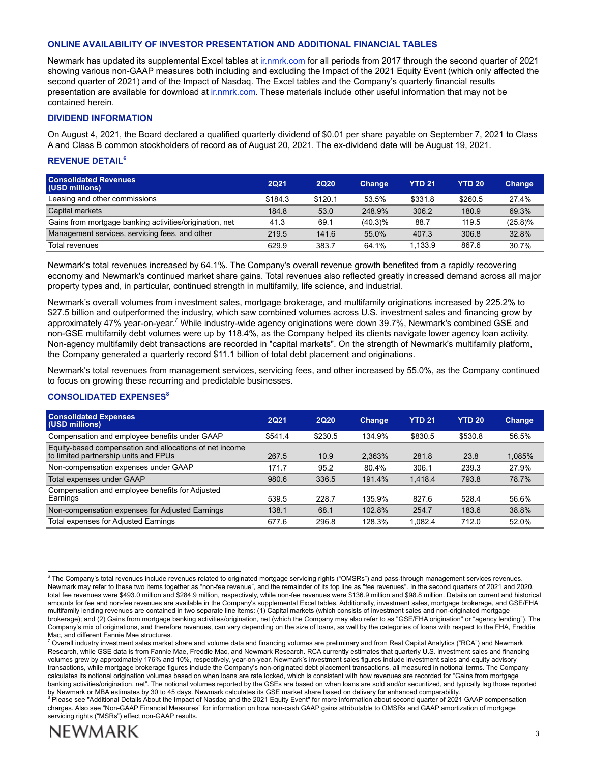### **ONLINE AVAILABILITY OF INVESTOR PRESENTATION AND ADDITIONAL FINANCIAL TABLES**

Newmark has updated its supplemental Excel tables at ir.nmrk.com for all periods from 2017 through the second quarter of 2021 showing various non-GAAP measures both including and excluding the Impact of the 2021 Equity Event (which only affected the second quarter of 2021) and of the Impact of Nasdaq. The Excel tables and the Company's quarterly financial results presentation are available for download at ir.nmrk.com. These materials include other useful information that may not be contained herein.

#### **DIVIDEND INFORMATION**

On August 4, 2021, the Board declared a qualified quarterly dividend of \$0.01 per share payable on September 7, 2021 to Class A and Class B common stockholders of record as of August 20, 2021. The ex-dividend date will be August 19, 2021.

## **REVENUE DETAIL<sup>6</sup>**

| <b>Consolidated Revenues</b><br>(USD millions)          | <b>2Q21</b> | <b>2Q20</b> | <b>Change</b> | <b>YTD 21</b> | <b>YTD 20</b> | Change  |
|---------------------------------------------------------|-------------|-------------|---------------|---------------|---------------|---------|
| Leasing and other commissions                           | \$184.3     | \$120.1     | 53.5%         | \$331.8       | \$260.5       | 27.4%   |
| Capital markets                                         | 184.8       | 53.0        | 248.9%        | 306.2         | 180.9         | 69.3%   |
| Gains from mortgage banking activities/origination, net | 41.3        | 69.1        | $(40.3)\%$    | 88.7          | 119.5         | (25.8)% |
| Management services, servicing fees, and other          | 219.5       | 141.6       | 55.0%         | 407.3         | 306.8         | 32.8%   |
| Total revenues                                          | 629.9       | 383.7       | 64.1%         | 1.133.9       | 867.6         | 30.7%   |

Newmark's total revenues increased by 64.1%. The Company's overall revenue growth benefited from a rapidly recovering economy and Newmark's continued market share gains. Total revenues also reflected greatly increased demand across all major property types and, in particular, continued strength in multifamily, life science, and industrial.

Newmark's overall volumes from investment sales, mortgage brokerage, and multifamily originations increased by 225.2% to \$27.5 billion and outperformed the industry, which saw combined volumes across U.S. investment sales and financing grow by approximately 47% year-on-year.<sup>7</sup> While industry-wide agency originations were down 39.7%, Newmark's combined GSE and non-GSE multifamily debt volumes were up by 118.4%, as the Company helped its clients navigate lower agency loan activity. Non-agency multifamily debt transactions are recorded in "capital markets". On the strength of Newmark's multifamily platform, the Company generated a quarterly record \$11.1 billion of total debt placement and originations.

Newmark's total revenues from management services, servicing fees, and other increased by 55.0%, as the Company continued to focus on growing these recurring and predictable businesses.

# **CONSOLIDATED EXPENSES<sup>8</sup>**

| <b>Consolidated Expenses</b><br>(USD millions)                                                   | <b>2Q21</b> | <b>2Q20</b> | Change | <b>YTD 21</b> | <b>YTD 20</b> | <b>Change</b> |
|--------------------------------------------------------------------------------------------------|-------------|-------------|--------|---------------|---------------|---------------|
| Compensation and employee benefits under GAAP                                                    | \$541.4     | \$230.5     | 134.9% | \$830.5       | \$530.8       | 56.5%         |
| Equity-based compensation and allocations of net income<br>to limited partnership units and FPUs | 267.5       | 10.9        | 2.363% | 281.8         | 23.8          | 1,085%        |
| Non-compensation expenses under GAAP                                                             | 171.7       | 95.2        | 80.4%  | 306.1         | 239.3         | 27.9%         |
| Total expenses under GAAP                                                                        | 980.6       | 336.5       | 191.4% | 1.418.4       | 793.8         | 78.7%         |
| Compensation and employee benefits for Adjusted<br>Earnings                                      | 539.5       | 228.7       | 135.9% | 827.6         | 528.4         | 56.6%         |
| Non-compensation expenses for Adjusted Earnings                                                  | 138.1       | 68.1        | 102.8% | 254.7         | 183.6         | 38.8%         |
| Total expenses for Adjusted Earnings                                                             | 677.6       | 296.8       | 128.3% | 1.082.4       | 712.0         | 52.0%         |

<sup>&</sup>lt;sup>8</sup> Please see "Additional Details About the Impact of Nasdaq and the 2021 Equity Event" for more information about second quarter of 2021 GAAP compensation charges. Also see "Non-GAAP Financial Measures" for information on how non-cash GAAP gains attributable to OMSRs and GAAP amortization of mortgage servicing rights ("MSRs") effect non-GAAP results.



<sup>&</sup>lt;sup>6</sup> The Company's total revenues include revenues related to originated mortgage servicing rights ("OMSRs") and pass-through management services revenues. Newmark may refer to these two items together as "non-fee revenue", and the remainder of its top line as "fee revenues". In the second quarters of 2021 and 2020, total fee revenues were \$493.0 million and \$284.9 million, respectively, while non-fee revenues were \$136.9 million and \$98.8 million. Details on current and historical amounts for fee and non-fee revenues are available in the Company's supplemental Excel tables. Additionally, investment sales, mortgage brokerage, and GSE/FHA multifamily lending revenues are contained in two separate line items: (1) Capital markets (which consists of investment sales and non-originated mortgage brokerage); and (2) Gains from mortgage banking activities/origination, net (which the Company may also refer to as "GSE/FHA origination" or "agency lending"). The Company's mix of originations, and therefore revenues, can vary depending on the size of loans, as well by the categories of loans with respect to the FHA, Freddie Mac, and different Fannie Mae structures.

 $^7$  Overall industry investment sales market share and volume data and financing volumes are preliminary and from Real Capital Analytics ("RCA") and Newmark Research, while GSE data is from Fannie Mae, Freddie Mac, and Newmark Research. RCA currently estimates that quarterly U.S. investment sales and financing volumes grew by approximately 176% and 10%, respectively, year-on-year. Newmark's investment sales figures include investment sales and equity advisory transactions, while mortgage brokerage figures include the Company's non-originated debt placement transactions, all measured in notional terms. The Company calculates its notional origination volumes based on when loans are rate locked, which is consistent with how revenues are recorded for "Gains from mortgage banking activities/origination, net". The notional volumes reported by the GSEs are based on when loans are sold and/or securitized, and typically lag those reported by Newmark or MBA estimates by 30 to 45 days. Newmark calculates its GSE market share based on delivery for enhanced comparability.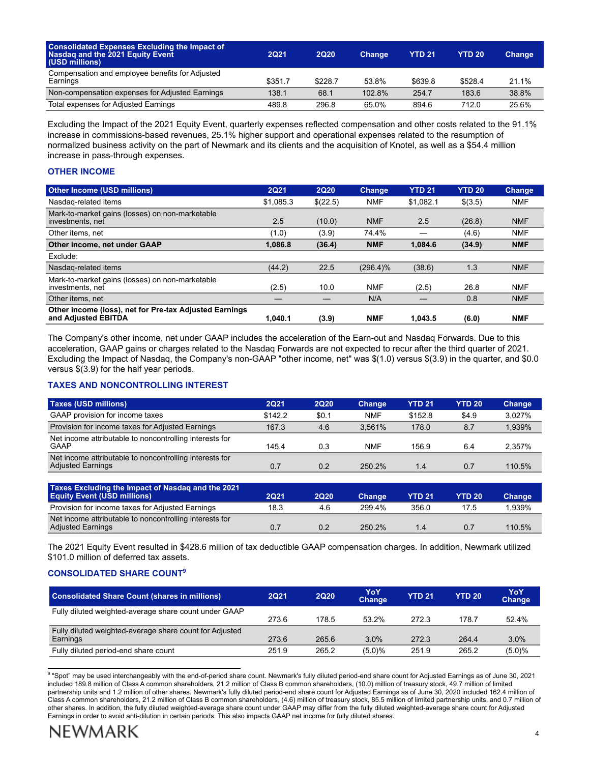| <b>Consolidated Expenses Excluding the Impact of</b><br>Nasdag and the 2021 Equity Event<br>(USD millions) | <b>2Q21</b> | <b>2Q20</b> | <b>Change</b> | <b>YTD 21</b> | <b>YTD 20</b> | Change |
|------------------------------------------------------------------------------------------------------------|-------------|-------------|---------------|---------------|---------------|--------|
| Compensation and employee benefits for Adjusted<br>Earnings                                                | \$351.7     | \$228.7     | 53.8%         | \$639.8       | \$528.4       | 21.1%  |
| Non-compensation expenses for Adjusted Earnings                                                            | 138.1       | 68.1        | 102.8%        | 254.7         | 183.6         | 38.8%  |
| Total expenses for Adjusted Earnings                                                                       | 489.8       | 296.8       | 65.0%         | 894.6         | 712.0         | 25.6%  |

Excluding the Impact of the 2021 Equity Event, quarterly expenses reflected compensation and other costs related to the 91.1% increase in commissions-based revenues, 25.1% higher support and operational expenses related to the resumption of normalized business activity on the part of Newmark and its clients and the acquisition of Knotel, as well as a \$54.4 million increase in pass-through expenses.

#### **OTHER INCOME**

| <b>Other Income (USD millions)</b>                                            | <b>2Q21</b> | <b>2Q20</b> | <b>Change</b> | <b>YTD 21</b> | <b>YTD 20</b> | <b>Change</b> |
|-------------------------------------------------------------------------------|-------------|-------------|---------------|---------------|---------------|---------------|
| Nasdag-related items                                                          | \$1.085.3   | \$(22.5)    | <b>NMF</b>    | \$1.082.1     | \$(3.5)       | <b>NMF</b>    |
| Mark-to-market gains (losses) on non-marketable<br>investments, net           | 2.5         | (10.0)      | <b>NMF</b>    | 2.5           | (26.8)        | <b>NMF</b>    |
| Other items, net                                                              | (1.0)       | (3.9)       | 74.4%         |               | (4.6)         | <b>NMF</b>    |
| Other income, net under GAAP                                                  | 1.086.8     | (36.4)      | <b>NMF</b>    | 1.084.6       | (34.9)        | <b>NMF</b>    |
| Exclude:                                                                      |             |             |               |               |               |               |
| Nasdag-related items                                                          | (44.2)      | 22.5        | $(296.4)\%$   | (38.6)        | 1.3           | <b>NMF</b>    |
| Mark-to-market gains (losses) on non-marketable<br>investments, net           | (2.5)       | 10.0        | <b>NMF</b>    | (2.5)         | 26.8          | <b>NMF</b>    |
| Other items, net                                                              |             |             | N/A           |               | 0.8           | <b>NMF</b>    |
| Other income (loss), net for Pre-tax Adjusted Earnings<br>and Adjusted EBITDA | 1.040.1     | (3.9)       | <b>NMF</b>    | 1.043.5       | (6.0)         | <b>NMF</b>    |

The Company's other income, net under GAAP includes the acceleration of the Earn-out and Nasdaq Forwards. Due to this acceleration, GAAP gains or charges related to the Nasdaq Forwards are not expected to recur after the third quarter of 2021. Excluding the Impact of Nasdaq, the Company's non-GAAP "other income, net" was \$(1.0) versus \$(3.9) in the quarter, and \$0.0 versus \$(3.9) for the half year periods.

### **TAXES AND NONCONTROLLING INTEREST**

| <b>Taxes (USD millions)</b>                                                         | 2021    | <b>2Q20</b> | <b>Change</b> | <b>YTD 21</b> | <b>YTD 20</b> | <b>Change</b> |
|-------------------------------------------------------------------------------------|---------|-------------|---------------|---------------|---------------|---------------|
| GAAP provision for income taxes                                                     | \$142.2 | \$0.1       | <b>NMF</b>    | \$152.8       | \$4.9         | 3.027%        |
| Provision for income taxes for Adjusted Earnings                                    | 167.3   | 4.6         | 3.561%        | 178.0         | 8.7           | 1,939%        |
| Net income attributable to noncontrolling interests for<br>GAAP                     | 145.4   | 0.3         | <b>NMF</b>    | 156.9         | 6.4           | 2.357%        |
| Net income attributable to noncontrolling interests for<br><b>Adjusted Earnings</b> | 0.7     | 0.2         | 250.2%        | 1.4           | 0.7           | 110.5%        |

| Taxes Excluding the Impact of Nasdag and the 2021<br><b>Equity Event (USD millions)</b> | <b>2Q21</b> | <b>2Q20</b> | <b>Change</b> | <b>YTD 21</b> | <b>YTD 20</b> | Change |
|-----------------------------------------------------------------------------------------|-------------|-------------|---------------|---------------|---------------|--------|
| Provision for income taxes for Adjusted Earnings                                        | 18.3        | 4.6         | 299.4%        | 356.0         | 17.5          | 1.939% |
| Net income attributable to noncontrolling interests for<br><b>Adjusted Earnings</b>     | 0.7         | 0.2         | 250.2%        | 1.4           | 0.7           | 110.5% |

The 2021 Equity Event resulted in \$428.6 million of tax deductible GAAP compensation charges. In addition, Newmark utilized \$101.0 million of deferred tax assets.

# **CONSOLIDATED SHARE COUNT<sup>9</sup>**

| <b>Consolidated Share Count (shares in millions)</b>                | <b>2Q21</b> | <b>2Q20</b> | YoY<br>Change | <b>YTD 21</b> | <b>YTD 20</b> | YoY<br><b>Change</b> |
|---------------------------------------------------------------------|-------------|-------------|---------------|---------------|---------------|----------------------|
| Fully diluted weighted-average share count under GAAP               | 273.6       | 178.5       | 53.2%         | 272.3         | 178.7         | 52.4%                |
| Fully diluted weighted-average share count for Adjusted<br>Earnings | 273.6       | 265.6       | 3.0%          | 272.3         | 264.4         | 3.0%                 |
| Fully diluted period-end share count                                | 251.9       | 265.2       | (5.0)%        | 251.9         | 265.2         | $(5.0)\%$            |

<sup>9</sup> "Spot" may be used interchangeably with the end-of-period share count. Newmark's fully diluted period-end share count for Adjusted Earnings as of June 30, 2021 included 189.8 million of Class A common shareholders, 21.2 million of Class B common shareholders, (10.0) million of treasury stock, 49.7 million of limited partnership units and 1.2 million of other shares. Newmark's fully diluted period-end share count for Adjusted Earnings as of June 30, 2020 included 162.4 million of Class A common shareholders, 21.2 million of Class B common shareholders, (4.6) million of treasury stock, 85.5 million of limited partnership units, and 0.7 million of other shares. In addition, the fully diluted weighted-average share count under GAAP may differ from the fully diluted weighted-average share count for Adjusted Earnings in order to avoid anti-dilution in certain periods. This also impacts GAAP net income for fully diluted shares.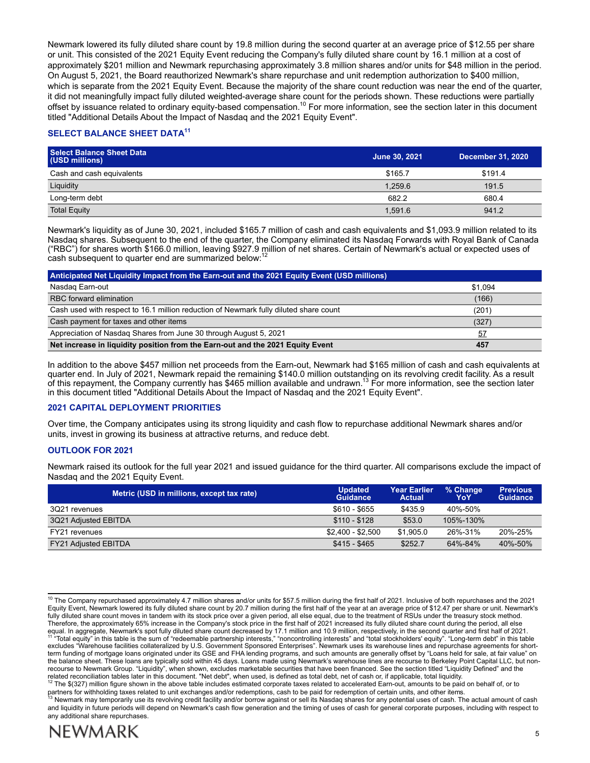Newmark lowered its fully diluted share count by 19.8 million during the second quarter at an average price of \$12.55 per share or unit. This consisted of the 2021 Equity Event reducing the Company's fully diluted share count by 16.1 million at a cost of approximately \$201 million and Newmark repurchasing approximately 3.8 million shares and/or units for \$48 million in the period. On August 5, 2021, the Board reauthorized Newmark's share repurchase and unit redemption authorization to \$400 million, which is separate from the 2021 Equity Event. Because the majority of the share count reduction was near the end of the quarter, it did not meaningfully impact fully diluted weighted-average share count for the periods shown. These reductions were partially offset by issuance related to ordinary equity-based compensation.<sup>10</sup> For more information, see the section later in this document titled "Additional Details About the Impact of Nasdaq and the 2021 Equity Event".

## **SELECT BALANCE SHEET DATA<sup>11</sup>**

| Select Balance Sheet Data<br>(USD millions) | June 30, 2021 | <b>December 31, 2020</b> |
|---------------------------------------------|---------------|--------------------------|
| Cash and cash equivalents                   | \$165.7       | \$191.4                  |
| Liquidity                                   | 1.259.6       | 191.5                    |
| Long-term debt                              | 682.2         | 680.4                    |
| <b>Total Equity</b>                         | 1,591.6       | 941.2                    |

Newmark's liquidity as of June 30, 2021, included \$165.7 million of cash and cash equivalents and \$1,093.9 million related to its Nasdaq shares. Subsequent to the end of the quarter, the Company eliminated its Nasdaq Forwards with Royal Bank of Canada ("RBC") for shares worth \$166.0 million, leaving \$927.9 million of net shares. Certain of Newmark's actual or expected uses of cash subsequent to quarter end are summarized below:

| Anticipated Net Liquidity Impact from the Earn-out and the 2021 Equity Event (USD millions) |         |
|---------------------------------------------------------------------------------------------|---------|
| Nasdag Earn-out                                                                             | \$1.094 |
| RBC forward elimination                                                                     | (166)   |
| Cash used with respect to 16.1 million reduction of Newmark fully diluted share count       | (201)   |
| Cash payment for taxes and other items                                                      | (327)   |
| Appreciation of Nasdag Shares from June 30 through August 5, 2021                           | 57      |
| Net increase in liquidity position from the Earn-out and the 2021 Equity Event              | 457     |

In addition to the above \$457 million net proceeds from the Earn-out, Newmark had \$165 million of cash and cash equivalents at quarter end. In July of 2021, Newmark repaid the remaining \$140.0 million outstanding on its revolving credit facility. As a result of this repayment, the Company currently has \$465 million available and undrawn.<sup>13</sup> For more information, see the section later in this document titled "Additional Details About the Impact of Nasdaq and the 2021 Equity Event".

#### **2021 CAPITAL DEPLOYMENT PRIORITIES**

Over time, the Company anticipates using its strong liquidity and cash flow to repurchase additional Newmark shares and/or units, invest in growing its business at attractive returns, and reduce debt.

# **OUTLOOK FOR 2021**

Newmark raised its outlook for the full year 2021 and issued guidance for the third quarter. All comparisons exclude the impact of Nasdaq and the 2021 Equity Event.

| Metric (USD in millions, except tax rate) | <b>Updated</b><br><b>Guidance</b> | <b>Year Earlier</b><br><b>Actual</b> | % Change<br>YoY | <b>Previous</b><br><b>Guidance</b> |
|-------------------------------------------|-----------------------------------|--------------------------------------|-----------------|------------------------------------|
| 3Q21 revenues                             | \$610 - \$655                     | \$435.9                              | 40%-50%         |                                    |
| 3Q21 Adjusted EBITDA                      | $$110 - $128$                     | \$53.0                               | 105%-130%       |                                    |
| FY21 revenues                             | \$2.400 - \$2.500                 | \$1.905.0                            | 26%-31%         | 20%-25%                            |
| <b>FY21 Adjusted EBITDA</b>               | \$415 - \$465                     | \$252.7                              | 64%-84%         | 40%-50%                            |

partners for withholding taxes related to unit exchanges and/or redemptions, cash to be paid for redemption of certain units, and other items.<br><sup>13</sup> Newmark may temporarily use its revolving credit facility and/or borrow ag and liquidity in future periods will depend on Newmark's cash flow generation and the timing of uses of cash for general corporate purposes, including with respect to any additional share repurchases.



 $10$  The Company repurchased approximately 4.7 million shares and/or units for \$57.5 million during the first half of 2021. Inclusive of both repurchases and the 2021 Equity Event, Newmark lowered its fully diluted share count by 20.7 million during the first half of the year at an average price of \$12.47 per share or unit. Newmark's fully diluted share count moves in tandem with its stock price over a given period, all else equal, due to the treatment of RSUs under the treasury stock method. Therefore, the approximately 65% increase in the Company's stock price in the first half of 2021 increased its fully diluted share count during the period, all else equal. In aggregate, Newmark's spot fully diluted share count decreased by 17.1 million and 10.9 million, respectively, in the second quarter and first half of 2021.<br><sup>11</sup> "Total equity" in this table is the sum of "redeema

excludes "Warehouse facilities collateralized by U.S. Government Sponsored Enterprises". Newmark uses its warehouse lines and repurchase agreements for shortterm funding of mortgage loans originated under its GSE and FHA lending programs, and such amounts are generally offset by "Loans held for sale, at fair value" on the balance sheet. These loans are typically sold within 45 days. Loans made using Newmark's warehouse lines are recourse to Berkeley Point Capital LLC, but nonrecourse to Newmark Group. "Liquidity", when shown, excludes marketable securities that have been financed. See the section titled "Liquidity Defined" and the related reconciliation tables later in this document. "Net debt", when used, is defined as total debt, net of cash or, if applicable, total liquidity.

 $12$  The \$(327) million figure shown in the above table includes estimated corporate taxes related to accelerated Earn-out, amounts to be paid on behalf of, or to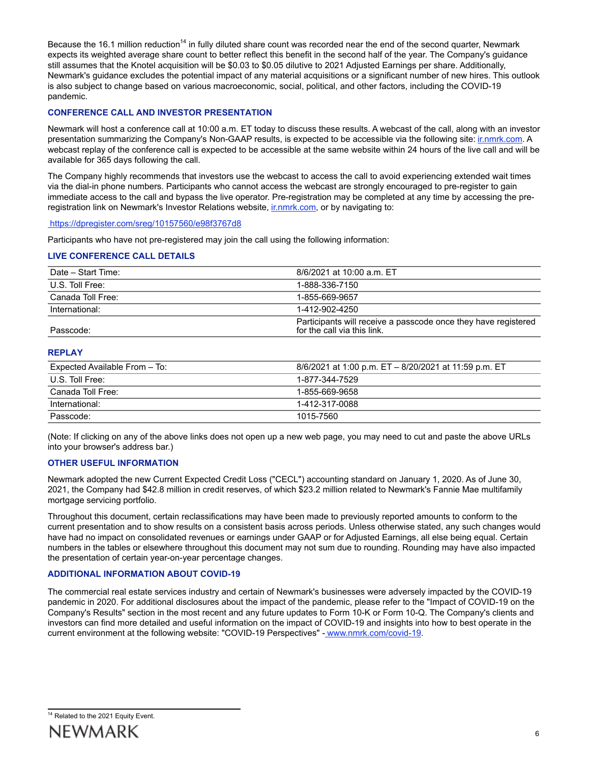Because the 16.1 million reduction<sup>14</sup> in fully diluted share count was recorded near the end of the second quarter, Newmark expects its weighted average share count to better reflect this benefit in the second half of the year. The Company's guidance still assumes that the Knotel acquisition will be \$0.03 to \$0.05 dilutive to 2021 Adjusted Earnings per share. Additionally, Newmark's guidance excludes the potential impact of any material acquisitions or a significant number of new hires. This outlook is also subject to change based on various macroeconomic, social, political, and other factors, including the COVID-19 pandemic.

### **CONFERENCE CALL AND INVESTOR PRESENTATION**

Newmark will host a conference call at 10:00 a.m. ET today to discuss these results. A webcast of the call, along with an investor presentation summarizing the Company's Non-GAAP results, is expected to be accessible via the following site: ir.nmrk.com. A webcast replay of the conference call is expected to be accessible at the same website within 24 hours of the live call and will be available for 365 days following the call.

The Company highly recommends that investors use the webcast to access the call to avoid experiencing extended wait times via the dial-in phone numbers. Participants who cannot access the webcast are strongly encouraged to pre-register to gain immediate access to the call and bypass the live operator. Pre-registration may be completed at any time by accessing the preregistration link on Newmark's Investor Relations website, *ir.nmrk.com*, or by navigating to:

#### https://dpregister.com/sreg/10157560/e98f3767d8

Participants who have not pre-registered may join the call using the following information:

### **LIVE CONFERENCE CALL DETAILS**

| Date – Start Time: | 8/6/2021 at 10:00 a.m. ET                                                                     |
|--------------------|-----------------------------------------------------------------------------------------------|
| U.S. Toll Free:    | 1-888-336-7150                                                                                |
| Canada Toll Free:  | 1-855-669-9657                                                                                |
| International:     | 1-412-902-4250                                                                                |
| Passcode:          | Participants will receive a passcode once they have registered<br>for the call via this link. |

#### **REPLAY**

| Expected Available From - To: | 8/6/2021 at 1:00 p.m. ET - 8/20/2021 at 11:59 p.m. ET |
|-------------------------------|-------------------------------------------------------|
| U.S. Toll Free:               | 1-877-344-7529                                        |
| Canada Toll Free:             | 1-855-669-9658                                        |
| International:                | 1-412-317-0088                                        |
| Passcode:                     | 1015-7560                                             |

(Note: If clicking on any of the above links does not open up a new web page, you may need to cut and paste the above URLs into your browser's address bar.)

#### **OTHER USEFUL INFORMATION**

Newmark adopted the new Current Expected Credit Loss ("CECL") accounting standard on January 1, 2020. As of June 30, 2021, the Company had \$42.8 million in credit reserves, of which \$23.2 million related to Newmark's Fannie Mae multifamily mortgage servicing portfolio.

Throughout this document, certain reclassifications may have been made to previously reported amounts to conform to the current presentation and to show results on a consistent basis across periods. Unless otherwise stated, any such changes would have had no impact on consolidated revenues or earnings under GAAP or for Adjusted Earnings, all else being equal. Certain numbers in the tables or elsewhere throughout this document may not sum due to rounding. Rounding may have also impacted the presentation of certain year-on-year percentage changes.

#### **ADDITIONAL INFORMATION ABOUT COVID-19**

The commercial real estate services industry and certain of Newmark's businesses were adversely impacted by the COVID-19 pandemic in 2020. For additional disclosures about the impact of the pandemic, please refer to the "Impact of COVID-19 on the Company's Results" section in the most recent and any future updates to Form 10-K or Form 10-Q. The Company's clients and investors can find more detailed and useful information on the impact of COVID-19 and insights into how to best operate in the current environment at the following website: "COVID-19 Perspectives" - www.nmrk.com/covid-19.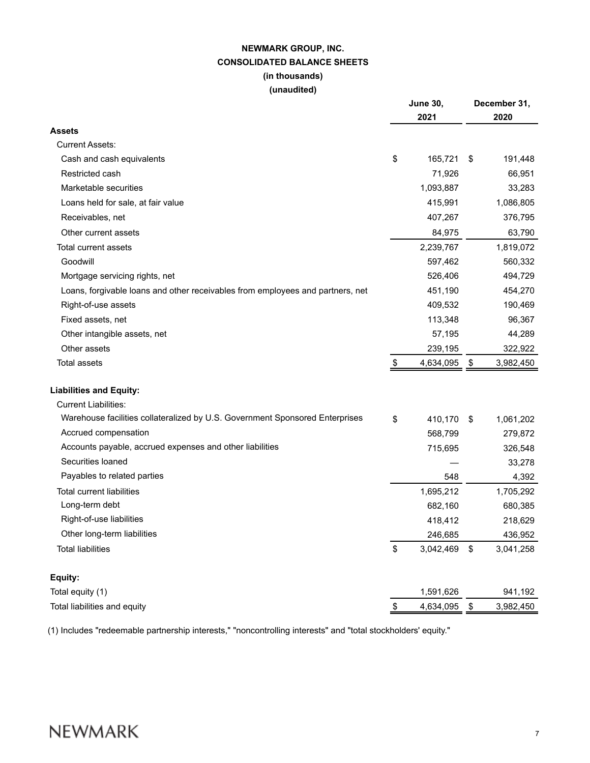# **NEWMARK GROUP, INC. CONSOLIDATED BALANCE SHEETS (in thousands) (unaudited)**

|                                                                                |                         | <b>June 30,</b><br>2021 |               | December 31,<br>2020 |
|--------------------------------------------------------------------------------|-------------------------|-------------------------|---------------|----------------------|
| Assets                                                                         |                         |                         |               |                      |
| <b>Current Assets:</b>                                                         |                         |                         |               |                      |
| Cash and cash equivalents                                                      | \$                      | 165,721                 | \$            | 191,448              |
| Restricted cash                                                                |                         | 71,926                  |               | 66,951               |
| Marketable securities                                                          |                         | 1,093,887               |               | 33,283               |
| Loans held for sale, at fair value                                             |                         | 415,991                 |               | 1,086,805            |
| Receivables, net                                                               |                         | 407,267                 |               | 376,795              |
| Other current assets                                                           |                         | 84,975                  |               | 63,790               |
| Total current assets                                                           |                         | 2,239,767               |               | 1,819,072            |
| Goodwill                                                                       |                         | 597,462                 |               | 560,332              |
| Mortgage servicing rights, net                                                 |                         | 526,406                 |               | 494,729              |
| Loans, forgivable loans and other receivables from employees and partners, net |                         | 451,190                 |               | 454,270              |
| Right-of-use assets                                                            |                         | 409,532                 |               | 190,469              |
| Fixed assets, net                                                              |                         | 113,348                 |               | 96,367               |
| Other intangible assets, net                                                   |                         | 57,195                  |               | 44,289               |
| Other assets                                                                   |                         | 239,195                 |               | 322,922              |
| <b>Total assets</b>                                                            | \$                      | 4,634,095               | \$            | 3,982,450            |
| <b>Liabilities and Equity:</b>                                                 |                         |                         |               |                      |
| <b>Current Liabilities:</b>                                                    |                         |                         |               |                      |
| Warehouse facilities collateralized by U.S. Government Sponsored Enterprises   | \$                      | 410,170                 | \$            | 1,061,202            |
| Accrued compensation                                                           |                         | 568,799                 |               | 279,872              |
| Accounts payable, accrued expenses and other liabilities                       |                         | 715,695                 |               | 326,548              |
| Securities loaned                                                              |                         |                         |               | 33,278               |
| Payables to related parties                                                    |                         | 548                     |               | 4,392                |
| <b>Total current liabilities</b>                                               |                         | 1,695,212               |               | 1,705,292            |
| Long-term debt                                                                 |                         | 682,160                 |               | 680,385              |
| Right-of-use liabilities                                                       |                         | 418,412                 |               | 218,629              |
| Other long-term liabilities                                                    |                         | 246,685                 |               | 436,952              |
| <b>Total liabilities</b>                                                       | \$                      | 3,042,469               | \$            | 3,041,258            |
| Equity:                                                                        |                         |                         |               |                      |
| Total equity (1)                                                               |                         | 1,591,626               |               | 941,192              |
| Total liabilities and equity                                                   | $\sqrt[6]{\frac{1}{2}}$ | 4,634,095               | $\sqrt[6]{3}$ | 3,982,450            |

(1) Includes "redeemable partnership interests," "noncontrolling interests" and "total stockholders' equity."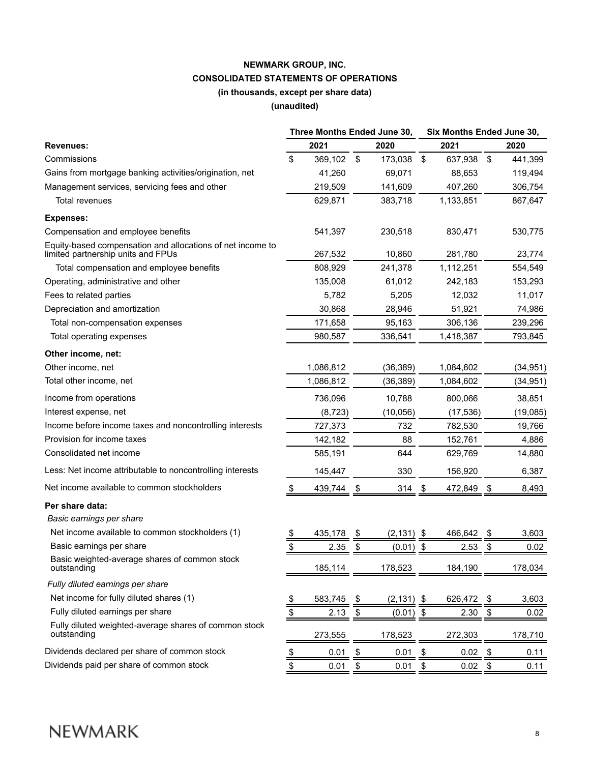# **NEWMARK GROUP, INC. CONSOLIDATED STATEMENTS OF OPERATIONS (in thousands, except per share data)**

**(unaudited)**

|                                                                                                  |                           | Three Months Ended June 30, |            |               | <b>Six Months Ended June 30,</b> |           |     |           |
|--------------------------------------------------------------------------------------------------|---------------------------|-----------------------------|------------|---------------|----------------------------------|-----------|-----|-----------|
| <b>Revenues:</b>                                                                                 |                           | 2021                        |            | 2020          |                                  | 2021      |     | 2020      |
| Commissions                                                                                      | \$                        | 369,102                     | $\sqrt{2}$ | 173,038       | $\sqrt[6]{\frac{1}{2}}$          | 637,938   | \$  | 441,399   |
| Gains from mortgage banking activities/origination, net                                          |                           | 41,260                      |            | 69,071        |                                  | 88,653    |     | 119,494   |
| Management services, servicing fees and other                                                    |                           | 219,509                     |            | 141,609       |                                  | 407,260   |     | 306,754   |
| Total revenues                                                                                   |                           | 629,871                     |            | 383,718       |                                  | 1,133,851 |     | 867,647   |
| <b>Expenses:</b>                                                                                 |                           |                             |            |               |                                  |           |     |           |
| Compensation and employee benefits                                                               |                           | 541,397                     |            | 230,518       |                                  | 830,471   |     | 530,775   |
| Equity-based compensation and allocations of net income to<br>limited partnership units and FPUs |                           | 267,532                     |            | 10,860        |                                  | 281,780   |     | 23,774    |
| Total compensation and employee benefits                                                         |                           | 808,929                     |            | 241.378       |                                  | 1,112,251 |     | 554,549   |
| Operating, administrative and other                                                              |                           | 135,008                     |            | 61,012        |                                  | 242,183   |     | 153,293   |
| Fees to related parties                                                                          |                           | 5,782                       |            | 5,205         |                                  | 12,032    |     | 11,017    |
| Depreciation and amortization                                                                    |                           | 30,868                      |            | 28,946        |                                  | 51,921    |     | 74,986    |
| Total non-compensation expenses                                                                  |                           | 171,658                     |            | 95,163        |                                  | 306,136   |     | 239,296   |
| Total operating expenses                                                                         |                           | 980,587                     |            | 336,541       |                                  | 1,418,387 |     | 793,845   |
| Other income, net:                                                                               |                           |                             |            |               |                                  |           |     |           |
| Other income, net                                                                                |                           | 1,086,812                   |            | (36, 389)     |                                  | 1,084,602 |     | (34, 951) |
| Total other income, net                                                                          |                           | 1,086,812                   |            | (36, 389)     |                                  | 1,084,602 |     | (34, 951) |
| Income from operations                                                                           |                           | 736,096                     |            | 10,788        |                                  | 800,066   |     | 38,851    |
| Interest expense, net                                                                            |                           | (8, 723)                    |            | (10, 056)     |                                  | (17, 536) |     | (19,085)  |
| Income before income taxes and noncontrolling interests                                          |                           | 727,373                     |            | 732           |                                  | 782,530   |     | 19,766    |
| Provision for income taxes                                                                       |                           | 142,182                     |            | 88            |                                  | 152,761   |     | 4,886     |
| Consolidated net income                                                                          |                           | 585,191                     |            | 644           |                                  | 629,769   |     | 14,880    |
| Less: Net income attributable to noncontrolling interests                                        |                           | 145,447                     |            | 330           |                                  | 156,920   |     | 6,387     |
| Net income available to common stockholders                                                      | \$                        | 439,744                     | \$         | 314           | -\$                              | 472,849   | \$  | 8,493     |
| Per share data:                                                                                  |                           |                             |            |               |                                  |           |     |           |
| Basic earnings per share                                                                         |                           |                             |            |               |                                  |           |     |           |
| Net income available to common stockholders (1)                                                  | \$                        | 435,178                     | \$         | $(2, 131)$ \$ |                                  | 466,642   | \$  | 3,603     |
| Basic earnings per share                                                                         | \$                        | 2.35                        | \$         | (0.01)        | -\$                              | 2.53      | \$  | 0.02      |
| Basic weighted-average shares of common stock<br>outstanding                                     |                           | 185,114                     |            | 178,523       |                                  | 184,190   |     | 178,034   |
| Fully diluted earnings per share                                                                 |                           |                             |            |               |                                  |           |     |           |
| Net income for fully diluted shares (1)                                                          | <u>\$</u>                 | 583,745                     | \$         | $(2, 131)$ \$ |                                  | 626,472   | \$  | 3,603     |
| Fully diluted earnings per share                                                                 | $\boldsymbol{\mathsf{S}}$ | 2.13                        | \$         | $(0.01)$ \$   |                                  | 2.30      | \$  | 0.02      |
| Fully diluted weighted-average shares of common stock<br>outstanding                             |                           | 273,555                     |            | 178,523       |                                  | 272,303   |     | 178,710   |
| Dividends declared per share of common stock                                                     | $\frac{3}{2}$             | 0.01                        | \$         | 0.01          | \$                               | 0.02      | -\$ | 0.11      |
| Dividends paid per share of common stock                                                         | $\boldsymbol{\$}$         | 0.01                        | \$         | 0.01          | \$                               | 0.02      | \$  | 0.11      |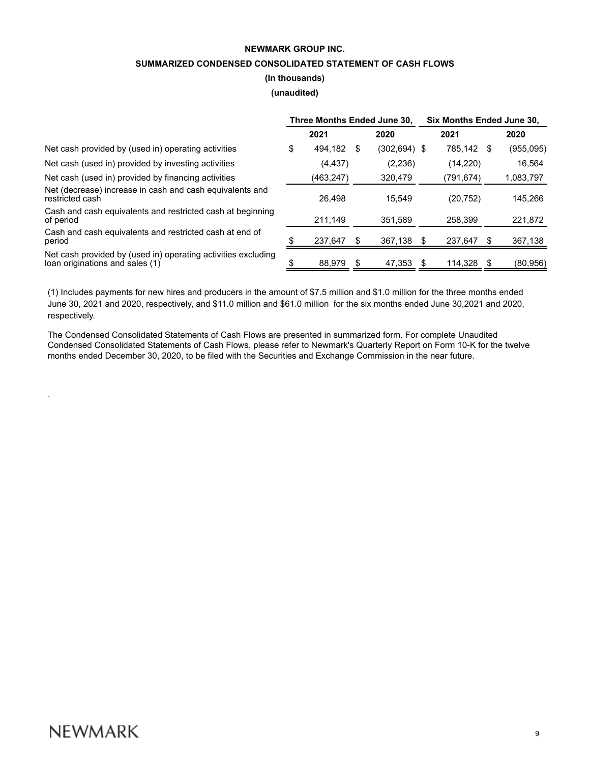# **NEWMARK GROUP INC.**

# **SUMMARIZED CONDENSED CONSOLIDATED STATEMENT OF CASH FLOWS**

# **(In thousands)**

# **(unaudited)**

|                                                                                                  | Three Months Ended June 30. |           |     |              | Six Months Ended June 30. |            |   |           |
|--------------------------------------------------------------------------------------------------|-----------------------------|-----------|-----|--------------|---------------------------|------------|---|-----------|
|                                                                                                  |                             | 2021      |     | 2020         |                           | 2021       |   | 2020      |
| Net cash provided by (used in) operating activities                                              | \$                          | 494.182   | \$. | (302,694) \$ |                           | 785.142    | S | (955,095) |
| Net cash (used in) provided by investing activities                                              |                             | (4, 437)  |     | (2,236)      |                           | (14,220)   |   | 16.564    |
| Net cash (used in) provided by financing activities                                              |                             | (463,247) |     | 320.479      |                           | (791, 674) |   | 1,083,797 |
| Net (decrease) increase in cash and cash equivalents and<br>restricted cash                      |                             | 26.498    |     | 15.549       |                           | (20, 752)  |   | 145,266   |
| Cash and cash equivalents and restricted cash at beginning<br>of period                          |                             | 211.149   |     | 351.589      |                           | 258.399    |   | 221,872   |
| Cash and cash equivalents and restricted cash at end of<br>period                                |                             | 237.647   |     | 367.138      | S                         | 237.647    | S | 367,138   |
| Net cash provided by (used in) operating activities excluding<br>loan originations and sales (1) | \$                          | 88.979    |     | 47,353       |                           | 114.328    |   | (80, 956) |

(1) Includes payments for new hires and producers in the amount of \$7.5 million and \$1.0 million for the three months ended June 30, 2021 and 2020, respectively, and \$11.0 million and \$61.0 million for the six months ended June 30,2021 and 2020, respectively.

The Condensed Consolidated Statements of Cash Flows are presented in summarized form. For complete Unaudited Condensed Consolidated Statements of Cash Flows, please refer to Newmark's Quarterly Report on Form 10-K for the twelve months ended December 30, 2020, to be filed with the Securities and Exchange Commission in the near future.

.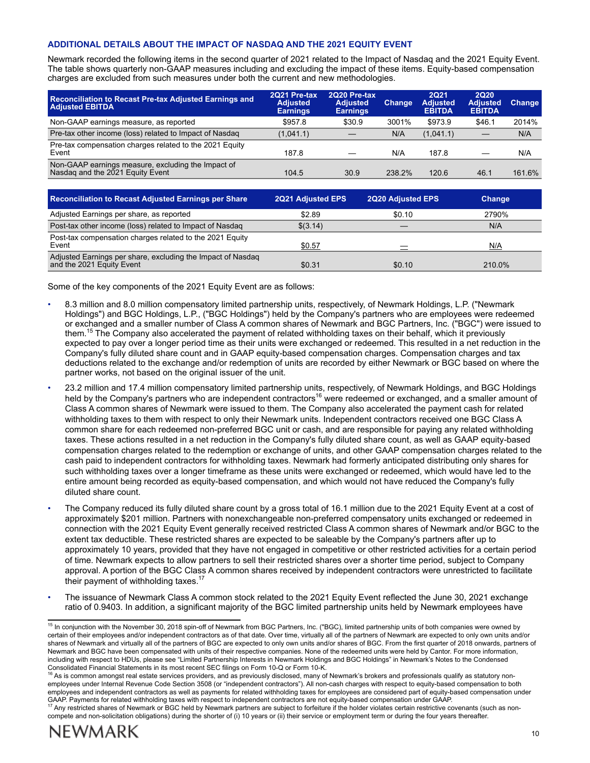# **ADDITIONAL DETAILS ABOUT THE IMPACT OF NASDAQ AND THE 2021 EQUITY EVENT**

Newmark recorded the following items in the second quarter of 2021 related to the Impact of Nasdaq and the 2021 Equity Event. The table shows quarterly non-GAAP measures including and excluding the impact of these items. Equity-based compensation charges are excluded from such measures under both the current and new methodologies.

| <b>Reconciliation to Recast Pre-tax Adjusted Earnings and</b><br><b>Adjusted EBITDA</b> | 2Q21 Pre-tax<br><b>Adjusted</b><br><b>Earnings</b> | 2Q20 Pre-tax<br><b>Adjusted</b><br><b>Earnings</b> | Change | 2Q21<br><b>Adjusted</b><br><b>EBITDA</b> | <b>2Q20</b><br><b>Adjusted</b><br><b>EBITDA</b> | Change |
|-----------------------------------------------------------------------------------------|----------------------------------------------------|----------------------------------------------------|--------|------------------------------------------|-------------------------------------------------|--------|
| Non-GAAP earnings measure, as reported                                                  | \$957.8                                            | \$30.9                                             | 3001%  | \$973.9                                  | \$46.1                                          | 2014%  |
| Pre-tax other income (loss) related to Impact of Nasdaq                                 | (1.041.1)                                          |                                                    | N/A    | (1.041.1)                                |                                                 | N/A    |
| Pre-tax compensation charges related to the 2021 Equity<br>Event                        | 187.8                                              |                                                    | N/A    | 187.8                                    |                                                 | N/A    |
| Non-GAAP earnings measure, excluding the Impact of<br>Nasdag and the 2021 Equity Event  | 104.5                                              | 30.9                                               | 238.2% | 120.6                                    | 46.1                                            | 161.6% |

| <b>Reconciliation to Recast Adjusted Earnings per Share</b>                              | <b>2Q21 Adjusted EPS</b> | <b>2Q20 Adjusted EPS</b> | <b>Change</b> |
|------------------------------------------------------------------------------------------|--------------------------|--------------------------|---------------|
| Adjusted Earnings per share, as reported                                                 | \$2.89                   | \$0.10                   | 2790%         |
| Post-tax other income (loss) related to Impact of Nasdaq                                 | \$(3.14)                 |                          | N/A           |
| Post-tax compensation charges related to the 2021 Equity<br>Event                        | \$0.57                   |                          | N/A           |
| Adjusted Earnings per share, excluding the Impact of Nasdaq<br>and the 2021 Equity Event | \$0.31                   | \$0.10                   | 210.0%        |

Some of the key components of the 2021 Equity Event are as follows:

- 8.3 million and 8.0 million compensatory limited partnership units, respectively, of Newmark Holdings, L.P. ("Newmark Holdings") and BGC Holdings, L.P., ("BGC Holdings") held by the Company's partners who are employees were redeemed or exchanged and a smaller number of Class A common shares of Newmark and BGC Partners, Inc. ("BGC") were issued to them.<sup>15</sup> The Company also accelerated the payment of related withholding taxes on their behalf, which it previously expected to pay over a longer period time as their units were exchanged or redeemed. This resulted in a net reduction in the Company's fully diluted share count and in GAAP equity-based compensation charges. Compensation charges and tax deductions related to the exchange and/or redemption of units are recorded by either Newmark or BGC based on where the partner works, not based on the original issuer of the unit.
- 23.2 million and 17.4 million compensatory limited partnership units, respectively, of Newmark Holdings, and BGC Holdings held by the Company's partners who are independent contractors<sup>16</sup> were redeemed or exchanged, and a smaller amount of Class A common shares of Newmark were issued to them. The Company also accelerated the payment cash for related withholding taxes to them with respect to only their Newmark units. Independent contractors received one BGC Class A common share for each redeemed non-preferred BGC unit or cash, and are responsible for paying any related withholding taxes. These actions resulted in a net reduction in the Company's fully diluted share count, as well as GAAP equity-based compensation charges related to the redemption or exchange of units, and other GAAP compensation charges related to the cash paid to independent contractors for withholding taxes. Newmark had formerly anticipated distributing only shares for such withholding taxes over a longer timeframe as these units were exchanged or redeemed, which would have led to the entire amount being recorded as equity-based compensation, and which would not have reduced the Company's fully diluted share count.
- The Company reduced its fully diluted share count by a gross total of 16.1 million due to the 2021 Equity Event at a cost of approximately \$201 million. Partners with nonexchangeable non-preferred compensatory units exchanged or redeemed in connection with the 2021 Equity Event generally received restricted Class A common shares of Newmark and/or BGC to the extent tax deductible. These restricted shares are expected to be saleable by the Company's partners after up to approximately 10 years, provided that they have not engaged in competitive or other restricted activities for a certain period of time. Newmark expects to allow partners to sell their restricted shares over a shorter time period, subject to Company approval. A portion of the BGC Class A common shares received by independent contractors were unrestricted to facilitate their payment of withholding taxes. $17$
- The issuance of Newmark Class A common stock related to the 2021 Equity Event reflected the June 30, 2021 exchange ratio of 0.9403. In addition, a significant majority of the BGC limited partnership units held by Newmark employees have

<sup>&</sup>lt;sup>7</sup> Any restricted shares of Newmark or BGC held by Newmark partners are subject to forfeiture if the holder violates certain restrictive covenants (such as noncompete and non-solicitation obligations) during the shorter of (i) 10 years or (ii) their service or employment term or during the four years thereafter.



<sup>&</sup>lt;sup>15</sup> In conjunction with the November 30, 2018 spin-off of Newmark from BGC Partners, Inc. ("BGC), limited partnership units of both companies were owned by certain of their employees and/or independent contractors as of that date. Over time, virtually all of the partners of Newmark are expected to only own units and/or shares of Newmark and virtually all of the partners of BGC are expected to only own units and/or shares of BGC. From the first quarter of 2018 onwards, partners of Newmark and BGC have been compensated with units of their respective companies. None of the redeemed units were held by Cantor. For more information, including with respect to HDUs, please see "Limited Partnership Interests in Newmark Holdings and BGC Holdings" in Newmark's Notes to the Condensed Consolidated Financial Statements in its most recent SEC filings on Form 10-Q or Form 10-K.

 $^{\circ}$ As is common amongst real estate services providers, and as previously disclosed, many of Newmark's brokers and professionals qualify as statutory nonemployees under Internal Revenue Code Section 3508 (or "independent contractors"). All non-cash charges with respect to equity-based compensation to both employees and independent contractors as well as payments for related withholding taxes for employees are considered part of equity-based compensation under GAAP. Payments for related withholding taxes with respect to independent contractors are not equity-based compensation under GAAP.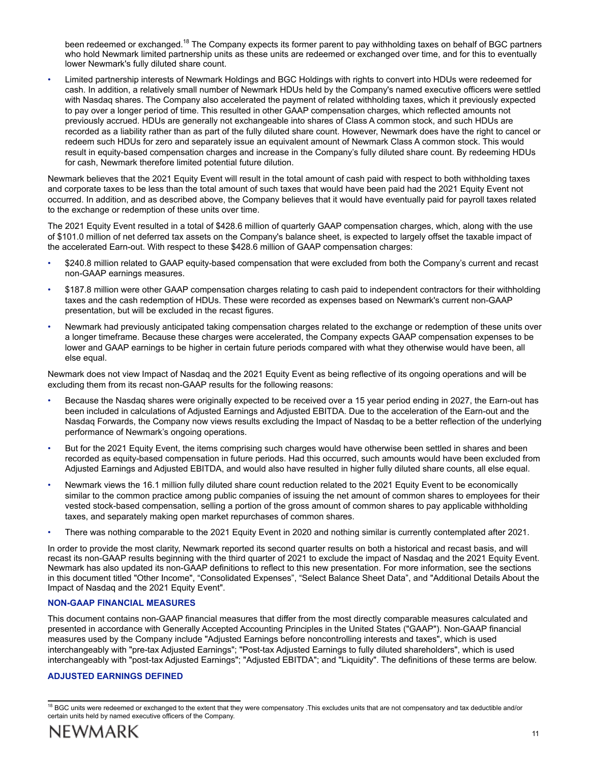been redeemed or exchanged.<sup>18</sup> The Company expects its former parent to pay withholding taxes on behalf of BGC partners who hold Newmark limited partnership units as these units are redeemed or exchanged over time, and for this to eventually lower Newmark's fully diluted share count.

• Limited partnership interests of Newmark Holdings and BGC Holdings with rights to convert into HDUs were redeemed for cash. In addition, a relatively small number of Newmark HDUs held by the Company's named executive officers were settled with Nasdaq shares. The Company also accelerated the payment of related withholding taxes, which it previously expected to pay over a longer period of time. This resulted in other GAAP compensation charges, which reflected amounts not previously accrued. HDUs are generally not exchangeable into shares of Class A common stock, and such HDUs are recorded as a liability rather than as part of the fully diluted share count. However, Newmark does have the right to cancel or redeem such HDUs for zero and separately issue an equivalent amount of Newmark Class A common stock. This would result in equity-based compensation charges and increase in the Company's fully diluted share count. By redeeming HDUs for cash, Newmark therefore limited potential future dilution.

Newmark believes that the 2021 Equity Event will result in the total amount of cash paid with respect to both withholding taxes and corporate taxes to be less than the total amount of such taxes that would have been paid had the 2021 Equity Event not occurred. In addition, and as described above, the Company believes that it would have eventually paid for payroll taxes related to the exchange or redemption of these units over time.

The 2021 Equity Event resulted in a total of \$428.6 million of quarterly GAAP compensation charges, which, along with the use of \$101.0 million of net deferred tax assets on the Company's balance sheet, is expected to largely offset the taxable impact of the accelerated Earn-out. With respect to these \$428.6 million of GAAP compensation charges:

- \$240.8 million related to GAAP equity-based compensation that were excluded from both the Company's current and recast non-GAAP earnings measures.
- \$187.8 million were other GAAP compensation charges relating to cash paid to independent contractors for their withholding taxes and the cash redemption of HDUs. These were recorded as expenses based on Newmark's current non-GAAP presentation, but will be excluded in the recast figures.
- Newmark had previously anticipated taking compensation charges related to the exchange or redemption of these units over a longer timeframe. Because these charges were accelerated, the Company expects GAAP compensation expenses to be lower and GAAP earnings to be higher in certain future periods compared with what they otherwise would have been, all else equal.

Newmark does not view Impact of Nasdaq and the 2021 Equity Event as being reflective of its ongoing operations and will be excluding them from its recast non-GAAP results for the following reasons:

- Because the Nasdaq shares were originally expected to be received over a 15 year period ending in 2027, the Earn-out has been included in calculations of Adjusted Earnings and Adjusted EBITDA. Due to the acceleration of the Earn-out and the Nasdaq Forwards, the Company now views results excluding the Impact of Nasdaq to be a better reflection of the underlying performance of Newmark's ongoing operations.
- But for the 2021 Equity Event, the items comprising such charges would have otherwise been settled in shares and been recorded as equity-based compensation in future periods. Had this occurred, such amounts would have been excluded from Adjusted Earnings and Adjusted EBITDA, and would also have resulted in higher fully diluted share counts, all else equal.
- Newmark views the 16.1 million fully diluted share count reduction related to the 2021 Equity Event to be economically similar to the common practice among public companies of issuing the net amount of common shares to employees for their vested stock-based compensation, selling a portion of the gross amount of common shares to pay applicable withholding taxes, and separately making open market repurchases of common shares.
- There was nothing comparable to the 2021 Equity Event in 2020 and nothing similar is currently contemplated after 2021.

In order to provide the most clarity, Newmark reported its second quarter results on both a historical and recast basis, and will recast its non-GAAP results beginning with the third quarter of 2021 to exclude the impact of Nasdaq and the 2021 Equity Event. Newmark has also updated its non-GAAP definitions to reflect to this new presentation. For more information, see the sections in this document titled "Other Income", "Consolidated Expenses", "Select Balance Sheet Data", and "Additional Details About the Impact of Nasdaq and the 2021 Equity Event".

# **NON-GAAP FINANCIAL MEASURES**

This document contains non-GAAP financial measures that differ from the most directly comparable measures calculated and presented in accordance with Generally Accepted Accounting Principles in the United States ("GAAP"). Non-GAAP financial measures used by the Company include "Adjusted Earnings before noncontrolling interests and taxes", which is used interchangeably with "pre-tax Adjusted Earnings"; "Post-tax Adjusted Earnings to fully diluted shareholders", which is used interchangeably with "post-tax Adjusted Earnings"; "Adjusted EBITDA"; and "Liquidity". The definitions of these terms are below.

# **ADJUSTED EARNINGS DEFINED**

<sup>&</sup>lt;sup>18</sup> BGC units were redeemed or exchanged to the extent that they were compensatory .This excludes units that are not compensatory and tax deductible and/or certain units held by named executive officers of the Company.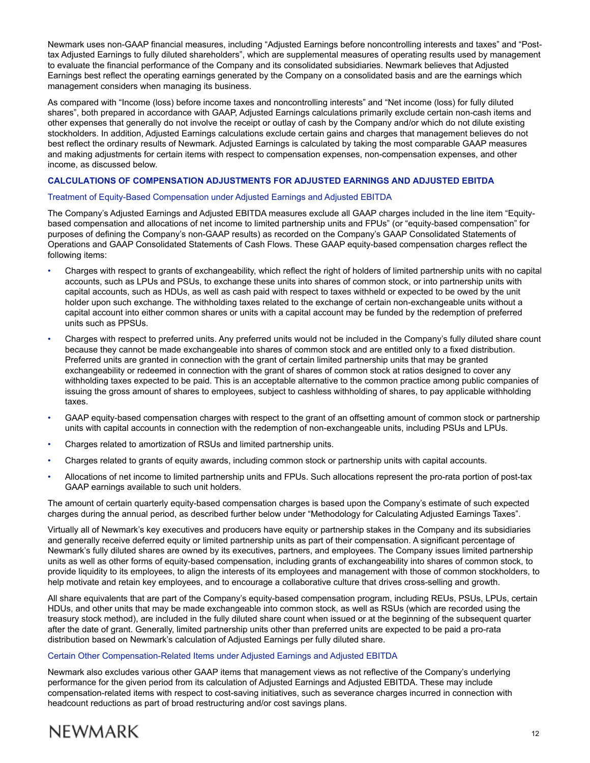Newmark uses non-GAAP financial measures, including "Adjusted Earnings before noncontrolling interests and taxes" and "Posttax Adjusted Earnings to fully diluted shareholders", which are supplemental measures of operating results used by management to evaluate the financial performance of the Company and its consolidated subsidiaries. Newmark believes that Adjusted Earnings best reflect the operating earnings generated by the Company on a consolidated basis and are the earnings which management considers when managing its business.

As compared with "Income (loss) before income taxes and noncontrolling interests" and "Net income (loss) for fully diluted shares", both prepared in accordance with GAAP, Adjusted Earnings calculations primarily exclude certain non-cash items and other expenses that generally do not involve the receipt or outlay of cash by the Company and/or which do not dilute existing stockholders. In addition, Adjusted Earnings calculations exclude certain gains and charges that management believes do not best reflect the ordinary results of Newmark. Adjusted Earnings is calculated by taking the most comparable GAAP measures and making adjustments for certain items with respect to compensation expenses, non-compensation expenses, and other income, as discussed below.

#### **CALCULATIONS OF COMPENSATION ADJUSTMENTS FOR ADJUSTED EARNINGS AND ADJUSTED EBITDA**

#### Treatment of Equity-Based Compensation under Adjusted Earnings and Adjusted EBITDA

The Company's Adjusted Earnings and Adjusted EBITDA measures exclude all GAAP charges included in the line item "Equitybased compensation and allocations of net income to limited partnership units and FPUs" (or "equity-based compensation" for purposes of defining the Company's non-GAAP results) as recorded on the Company's GAAP Consolidated Statements of Operations and GAAP Consolidated Statements of Cash Flows. These GAAP equity-based compensation charges reflect the following items:

- Charges with respect to grants of exchangeability, which reflect the right of holders of limited partnership units with no capital accounts, such as LPUs and PSUs, to exchange these units into shares of common stock, or into partnership units with capital accounts, such as HDUs, as well as cash paid with respect to taxes withheld or expected to be owed by the unit holder upon such exchange. The withholding taxes related to the exchange of certain non-exchangeable units without a capital account into either common shares or units with a capital account may be funded by the redemption of preferred units such as PPSUs.
- Charges with respect to preferred units. Any preferred units would not be included in the Company's fully diluted share count because they cannot be made exchangeable into shares of common stock and are entitled only to a fixed distribution. Preferred units are granted in connection with the grant of certain limited partnership units that may be granted exchangeability or redeemed in connection with the grant of shares of common stock at ratios designed to cover any withholding taxes expected to be paid. This is an acceptable alternative to the common practice among public companies of issuing the gross amount of shares to employees, subject to cashless withholding of shares, to pay applicable withholding taxes.
- GAAP equity-based compensation charges with respect to the grant of an offsetting amount of common stock or partnership units with capital accounts in connection with the redemption of non-exchangeable units, including PSUs and LPUs.
- Charges related to amortization of RSUs and limited partnership units.
- Charges related to grants of equity awards, including common stock or partnership units with capital accounts.
- Allocations of net income to limited partnership units and FPUs. Such allocations represent the pro-rata portion of post-tax GAAP earnings available to such unit holders.

The amount of certain quarterly equity-based compensation charges is based upon the Company's estimate of such expected charges during the annual period, as described further below under "Methodology for Calculating Adjusted Earnings Taxes".

Virtually all of Newmark's key executives and producers have equity or partnership stakes in the Company and its subsidiaries and generally receive deferred equity or limited partnership units as part of their compensation. A significant percentage of Newmark's fully diluted shares are owned by its executives, partners, and employees. The Company issues limited partnership units as well as other forms of equity-based compensation, including grants of exchangeability into shares of common stock, to provide liquidity to its employees, to align the interests of its employees and management with those of common stockholders, to help motivate and retain key employees, and to encourage a collaborative culture that drives cross-selling and growth.

All share equivalents that are part of the Company's equity-based compensation program, including REUs, PSUs, LPUs, certain HDUs, and other units that may be made exchangeable into common stock, as well as RSUs (which are recorded using the treasury stock method), are included in the fully diluted share count when issued or at the beginning of the subsequent quarter after the date of grant. Generally, limited partnership units other than preferred units are expected to be paid a pro-rata distribution based on Newmark's calculation of Adjusted Earnings per fully diluted share.

#### Certain Other Compensation-Related Items under Adjusted Earnings and Adjusted EBITDA

Newmark also excludes various other GAAP items that management views as not reflective of the Company's underlying performance for the given period from its calculation of Adjusted Earnings and Adjusted EBITDA. These may include compensation-related items with respect to cost-saving initiatives, such as severance charges incurred in connection with headcount reductions as part of broad restructuring and/or cost savings plans.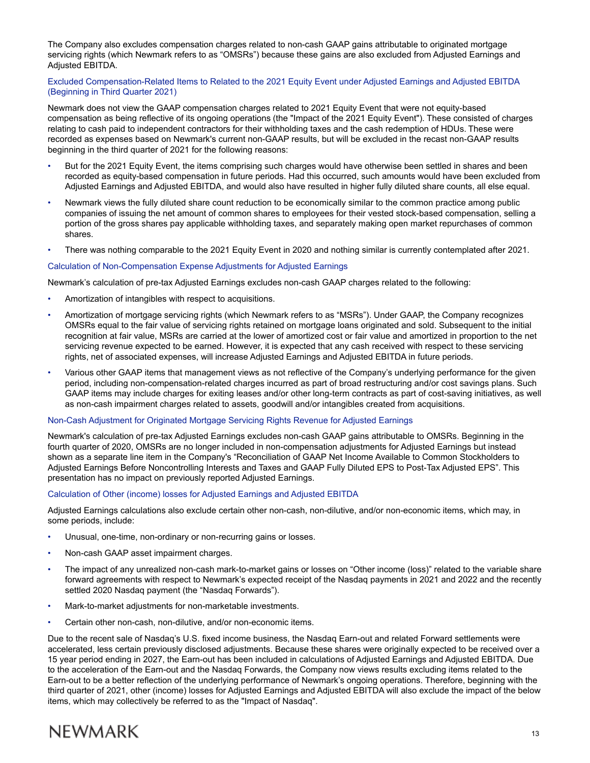The Company also excludes compensation charges related to non-cash GAAP gains attributable to originated mortgage servicing rights (which Newmark refers to as "OMSRs") because these gains are also excluded from Adjusted Earnings and Adjusted EBITDA.

#### Excluded Compensation-Related Items to Related to the 2021 Equity Event under Adjusted Earnings and Adjusted EBITDA (Beginning in Third Quarter 2021)

Newmark does not view the GAAP compensation charges related to 2021 Equity Event that were not equity-based compensation as being reflective of its ongoing operations (the "Impact of the 2021 Equity Event"). These consisted of charges relating to cash paid to independent contractors for their withholding taxes and the cash redemption of HDUs. These were recorded as expenses based on Newmark's current non-GAAP results, but will be excluded in the recast non-GAAP results beginning in the third quarter of 2021 for the following reasons:

- But for the 2021 Equity Event, the items comprising such charges would have otherwise been settled in shares and been recorded as equity-based compensation in future periods. Had this occurred, such amounts would have been excluded from Adjusted Earnings and Adjusted EBITDA, and would also have resulted in higher fully diluted share counts, all else equal.
- Newmark views the fully diluted share count reduction to be economically similar to the common practice among public companies of issuing the net amount of common shares to employees for their vested stock-based compensation, selling a portion of the gross shares pay applicable withholding taxes, and separately making open market repurchases of common shares.
- There was nothing comparable to the 2021 Equity Event in 2020 and nothing similar is currently contemplated after 2021.

#### Calculation of Non-Compensation Expense Adjustments for Adjusted Earnings

Newmark's calculation of pre-tax Adjusted Earnings excludes non-cash GAAP charges related to the following:

- Amortization of intangibles with respect to acquisitions.
- Amortization of mortgage servicing rights (which Newmark refers to as "MSRs"). Under GAAP, the Company recognizes OMSRs equal to the fair value of servicing rights retained on mortgage loans originated and sold. Subsequent to the initial recognition at fair value, MSRs are carried at the lower of amortized cost or fair value and amortized in proportion to the net servicing revenue expected to be earned. However, it is expected that any cash received with respect to these servicing rights, net of associated expenses, will increase Adjusted Earnings and Adjusted EBITDA in future periods.
- Various other GAAP items that management views as not reflective of the Company's underlying performance for the given period, including non-compensation-related charges incurred as part of broad restructuring and/or cost savings plans. Such GAAP items may include charges for exiting leases and/or other long-term contracts as part of cost-saving initiatives, as well as non-cash impairment charges related to assets, goodwill and/or intangibles created from acquisitions.

### Non-Cash Adjustment for Originated Mortgage Servicing Rights Revenue for Adjusted Earnings

Newmark's calculation of pre-tax Adjusted Earnings excludes non-cash GAAP gains attributable to OMSRs. Beginning in the fourth quarter of 2020, OMSRs are no longer included in non-compensation adjustments for Adjusted Earnings but instead shown as a separate line item in the Company's "Reconciliation of GAAP Net Income Available to Common Stockholders to Adjusted Earnings Before Noncontrolling Interests and Taxes and GAAP Fully Diluted EPS to Post-Tax Adjusted EPS". This presentation has no impact on previously reported Adjusted Earnings.

#### Calculation of Other (income) losses for Adjusted Earnings and Adjusted EBITDA

Adjusted Earnings calculations also exclude certain other non-cash, non-dilutive, and/or non-economic items, which may, in some periods, include:

- Unusual, one-time, non-ordinary or non-recurring gains or losses.
- Non-cash GAAP asset impairment charges.
- The impact of any unrealized non-cash mark-to-market gains or losses on "Other income (loss)" related to the variable share forward agreements with respect to Newmark's expected receipt of the Nasdaq payments in 2021 and 2022 and the recently settled 2020 Nasdaq payment (the "Nasdaq Forwards").
- Mark-to-market adjustments for non-marketable investments.
- Certain other non-cash, non-dilutive, and/or non-economic items.

Due to the recent sale of Nasdaq's U.S. fixed income business, the Nasdaq Earn-out and related Forward settlements were accelerated, less certain previously disclosed adjustments. Because these shares were originally expected to be received over a 15 year period ending in 2027, the Earn-out has been included in calculations of Adjusted Earnings and Adjusted EBITDA. Due to the acceleration of the Earn-out and the Nasdaq Forwards, the Company now views results excluding items related to the Earn-out to be a better reflection of the underlying performance of Newmark's ongoing operations. Therefore, beginning with the third quarter of 2021, other (income) losses for Adjusted Earnings and Adjusted EBITDA will also exclude the impact of the below items, which may collectively be referred to as the "Impact of Nasdaq".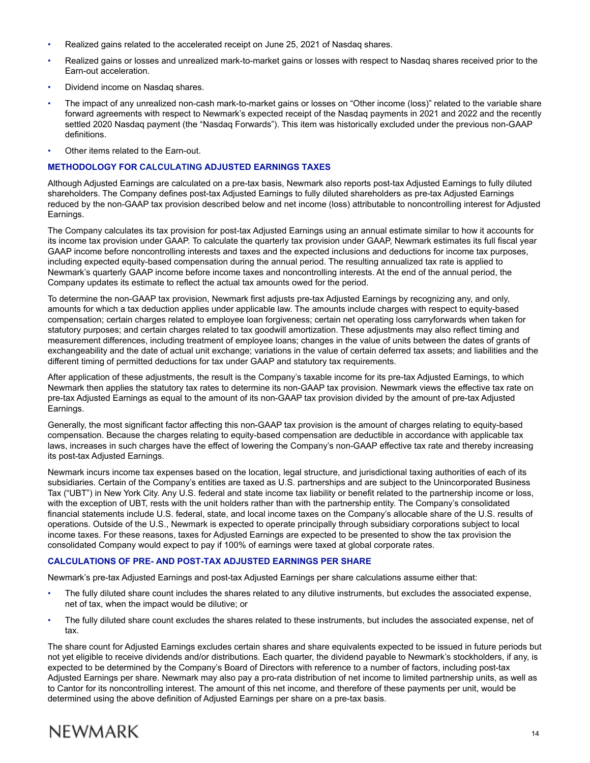- Realized gains related to the accelerated receipt on June 25, 2021 of Nasdaq shares.
- Realized gains or losses and unrealized mark-to-market gains or losses with respect to Nasdaq shares received prior to the Earn-out acceleration.
- Dividend income on Nasdaq shares.
- The impact of any unrealized non-cash mark-to-market gains or losses on "Other income (loss)" related to the variable share forward agreements with respect to Newmark's expected receipt of the Nasdaq payments in 2021 and 2022 and the recently settled 2020 Nasdaq payment (the "Nasdaq Forwards"). This item was historically excluded under the previous non-GAAP definitions.
- Other items related to the Earn-out.

#### **METHODOLOGY FOR CALCULATING ADJUSTED EARNINGS TAXES**

Although Adjusted Earnings are calculated on a pre-tax basis, Newmark also reports post-tax Adjusted Earnings to fully diluted shareholders. The Company defines post-tax Adjusted Earnings to fully diluted shareholders as pre-tax Adjusted Earnings reduced by the non-GAAP tax provision described below and net income (loss) attributable to noncontrolling interest for Adjusted Earnings.

The Company calculates its tax provision for post-tax Adjusted Earnings using an annual estimate similar to how it accounts for its income tax provision under GAAP. To calculate the quarterly tax provision under GAAP, Newmark estimates its full fiscal year GAAP income before noncontrolling interests and taxes and the expected inclusions and deductions for income tax purposes, including expected equity-based compensation during the annual period. The resulting annualized tax rate is applied to Newmark's quarterly GAAP income before income taxes and noncontrolling interests. At the end of the annual period, the Company updates its estimate to reflect the actual tax amounts owed for the period.

To determine the non-GAAP tax provision, Newmark first adjusts pre-tax Adjusted Earnings by recognizing any, and only, amounts for which a tax deduction applies under applicable law. The amounts include charges with respect to equity-based compensation; certain charges related to employee loan forgiveness; certain net operating loss carryforwards when taken for statutory purposes; and certain charges related to tax goodwill amortization. These adjustments may also reflect timing and measurement differences, including treatment of employee loans; changes in the value of units between the dates of grants of exchangeability and the date of actual unit exchange; variations in the value of certain deferred tax assets; and liabilities and the different timing of permitted deductions for tax under GAAP and statutory tax requirements.

After application of these adjustments, the result is the Company's taxable income for its pre-tax Adjusted Earnings, to which Newmark then applies the statutory tax rates to determine its non-GAAP tax provision. Newmark views the effective tax rate on pre-tax Adjusted Earnings as equal to the amount of its non-GAAP tax provision divided by the amount of pre-tax Adjusted Earnings.

Generally, the most significant factor affecting this non-GAAP tax provision is the amount of charges relating to equity-based compensation. Because the charges relating to equity-based compensation are deductible in accordance with applicable tax laws, increases in such charges have the effect of lowering the Company's non-GAAP effective tax rate and thereby increasing its post-tax Adjusted Earnings.

Newmark incurs income tax expenses based on the location, legal structure, and jurisdictional taxing authorities of each of its subsidiaries. Certain of the Company's entities are taxed as U.S. partnerships and are subject to the Unincorporated Business Tax ("UBT") in New York City. Any U.S. federal and state income tax liability or benefit related to the partnership income or loss, with the exception of UBT, rests with the unit holders rather than with the partnership entity. The Company's consolidated financial statements include U.S. federal, state, and local income taxes on the Company's allocable share of the U.S. results of operations. Outside of the U.S., Newmark is expected to operate principally through subsidiary corporations subject to local income taxes. For these reasons, taxes for Adjusted Earnings are expected to be presented to show the tax provision the consolidated Company would expect to pay if 100% of earnings were taxed at global corporate rates.

#### **CALCULATIONS OF PRE- AND POST-TAX ADJUSTED EARNINGS PER SHARE**

Newmark's pre-tax Adjusted Earnings and post-tax Adjusted Earnings per share calculations assume either that:

- The fully diluted share count includes the shares related to any dilutive instruments, but excludes the associated expense, net of tax, when the impact would be dilutive; or
- The fully diluted share count excludes the shares related to these instruments, but includes the associated expense, net of tax.

The share count for Adjusted Earnings excludes certain shares and share equivalents expected to be issued in future periods but not yet eligible to receive dividends and/or distributions. Each quarter, the dividend payable to Newmark's stockholders, if any, is expected to be determined by the Company's Board of Directors with reference to a number of factors, including post-tax Adjusted Earnings per share. Newmark may also pay a pro-rata distribution of net income to limited partnership units, as well as to Cantor for its noncontrolling interest. The amount of this net income, and therefore of these payments per unit, would be determined using the above definition of Adjusted Earnings per share on a pre-tax basis.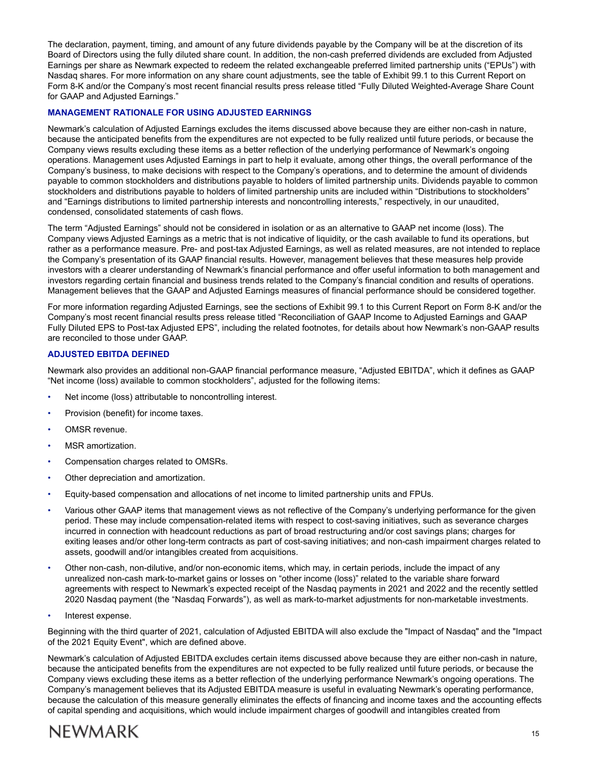The declaration, payment, timing, and amount of any future dividends payable by the Company will be at the discretion of its Board of Directors using the fully diluted share count. In addition, the non-cash preferred dividends are excluded from Adjusted Earnings per share as Newmark expected to redeem the related exchangeable preferred limited partnership units ("EPUs") with Nasdaq shares. For more information on any share count adjustments, see the table of Exhibit 99.1 to this Current Report on Form 8-K and/or the Company's most recent financial results press release titled "Fully Diluted Weighted-Average Share Count for GAAP and Adjusted Earnings."

### **MANAGEMENT RATIONALE FOR USING ADJUSTED EARNINGS**

Newmark's calculation of Adjusted Earnings excludes the items discussed above because they are either non-cash in nature, because the anticipated benefits from the expenditures are not expected to be fully realized until future periods, or because the Company views results excluding these items as a better reflection of the underlying performance of Newmark's ongoing operations. Management uses Adjusted Earnings in part to help it evaluate, among other things, the overall performance of the Company's business, to make decisions with respect to the Company's operations, and to determine the amount of dividends payable to common stockholders and distributions payable to holders of limited partnership units. Dividends payable to common stockholders and distributions payable to holders of limited partnership units are included within "Distributions to stockholders" and "Earnings distributions to limited partnership interests and noncontrolling interests," respectively, in our unaudited, condensed, consolidated statements of cash flows.

The term "Adjusted Earnings" should not be considered in isolation or as an alternative to GAAP net income (loss). The Company views Adjusted Earnings as a metric that is not indicative of liquidity, or the cash available to fund its operations, but rather as a performance measure. Pre- and post-tax Adjusted Earnings, as well as related measures, are not intended to replace the Company's presentation of its GAAP financial results. However, management believes that these measures help provide investors with a clearer understanding of Newmark's financial performance and offer useful information to both management and investors regarding certain financial and business trends related to the Company's financial condition and results of operations. Management believes that the GAAP and Adjusted Earnings measures of financial performance should be considered together.

For more information regarding Adjusted Earnings, see the sections of Exhibit 99.1 to this Current Report on Form 8-K and/or the Company's most recent financial results press release titled "Reconciliation of GAAP Income to Adjusted Earnings and GAAP Fully Diluted EPS to Post-tax Adjusted EPS", including the related footnotes, for details about how Newmark's non-GAAP results are reconciled to those under GAAP.

### **ADJUSTED EBITDA DEFINED**

Newmark also provides an additional non-GAAP financial performance measure, "Adjusted EBITDA", which it defines as GAAP "Net income (loss) available to common stockholders", adjusted for the following items:

- Net income (loss) attributable to noncontrolling interest.
- Provision (benefit) for income taxes.
- OMSR revenue.
- MSR amortization.
- Compensation charges related to OMSRs.
- Other depreciation and amortization.
- Equity-based compensation and allocations of net income to limited partnership units and FPUs.
- Various other GAAP items that management views as not reflective of the Company's underlying performance for the given period. These may include compensation-related items with respect to cost-saving initiatives, such as severance charges incurred in connection with headcount reductions as part of broad restructuring and/or cost savings plans; charges for exiting leases and/or other long-term contracts as part of cost-saving initiatives; and non-cash impairment charges related to assets, goodwill and/or intangibles created from acquisitions.
- Other non-cash, non-dilutive, and/or non-economic items, which may, in certain periods, include the impact of any unrealized non-cash mark-to-market gains or losses on "other income (loss)" related to the variable share forward agreements with respect to Newmark's expected receipt of the Nasdaq payments in 2021 and 2022 and the recently settled 2020 Nasdaq payment (the "Nasdaq Forwards"), as well as mark-to-market adjustments for non-marketable investments.
- Interest expense.

Beginning with the third quarter of 2021, calculation of Adjusted EBITDA will also exclude the "Impact of Nasdaq" and the "Impact of the 2021 Equity Event", which are defined above.

Newmark's calculation of Adjusted EBITDA excludes certain items discussed above because they are either non-cash in nature, because the anticipated benefits from the expenditures are not expected to be fully realized until future periods, or because the Company views excluding these items as a better reflection of the underlying performance Newmark's ongoing operations. The Company's management believes that its Adjusted EBITDA measure is useful in evaluating Newmark's operating performance, because the calculation of this measure generally eliminates the effects of financing and income taxes and the accounting effects of capital spending and acquisitions, which would include impairment charges of goodwill and intangibles created from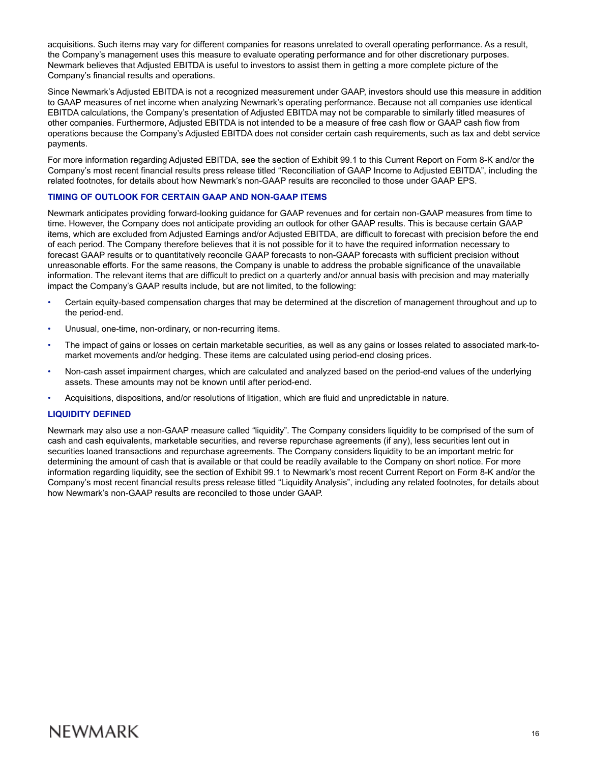acquisitions. Such items may vary for different companies for reasons unrelated to overall operating performance. As a result, the Company's management uses this measure to evaluate operating performance and for other discretionary purposes. Newmark believes that Adjusted EBITDA is useful to investors to assist them in getting a more complete picture of the Company's financial results and operations.

Since Newmark's Adjusted EBITDA is not a recognized measurement under GAAP, investors should use this measure in addition to GAAP measures of net income when analyzing Newmark's operating performance. Because not all companies use identical EBITDA calculations, the Company's presentation of Adjusted EBITDA may not be comparable to similarly titled measures of other companies. Furthermore, Adjusted EBITDA is not intended to be a measure of free cash flow or GAAP cash flow from operations because the Company's Adjusted EBITDA does not consider certain cash requirements, such as tax and debt service payments.

For more information regarding Adjusted EBITDA, see the section of Exhibit 99.1 to this Current Report on Form 8-K and/or the Company's most recent financial results press release titled "Reconciliation of GAAP Income to Adjusted EBITDA", including the related footnotes, for details about how Newmark's non-GAAP results are reconciled to those under GAAP EPS.

### **TIMING OF OUTLOOK FOR CERTAIN GAAP AND NON-GAAP ITEMS**

Newmark anticipates providing forward-looking guidance for GAAP revenues and for certain non-GAAP measures from time to time. However, the Company does not anticipate providing an outlook for other GAAP results. This is because certain GAAP items, which are excluded from Adjusted Earnings and/or Adjusted EBITDA, are difficult to forecast with precision before the end of each period. The Company therefore believes that it is not possible for it to have the required information necessary to forecast GAAP results or to quantitatively reconcile GAAP forecasts to non-GAAP forecasts with sufficient precision without unreasonable efforts. For the same reasons, the Company is unable to address the probable significance of the unavailable information. The relevant items that are difficult to predict on a quarterly and/or annual basis with precision and may materially impact the Company's GAAP results include, but are not limited, to the following:

- Certain equity-based compensation charges that may be determined at the discretion of management throughout and up to the period-end.
- Unusual, one-time, non-ordinary, or non-recurring items.
- The impact of gains or losses on certain marketable securities, as well as any gains or losses related to associated mark-tomarket movements and/or hedging. These items are calculated using period-end closing prices.
- Non-cash asset impairment charges, which are calculated and analyzed based on the period-end values of the underlying assets. These amounts may not be known until after period-end.
- Acquisitions, dispositions, and/or resolutions of litigation, which are fluid and unpredictable in nature.

#### **LIQUIDITY DEFINED**

Newmark may also use a non-GAAP measure called "liquidity". The Company considers liquidity to be comprised of the sum of cash and cash equivalents, marketable securities, and reverse repurchase agreements (if any), less securities lent out in securities loaned transactions and repurchase agreements. The Company considers liquidity to be an important metric for determining the amount of cash that is available or that could be readily available to the Company on short notice. For more information regarding liquidity, see the section of Exhibit 99.1 to Newmark's most recent Current Report on Form 8-K and/or the Company's most recent financial results press release titled "Liquidity Analysis", including any related footnotes, for details about how Newmark's non-GAAP results are reconciled to those under GAAP.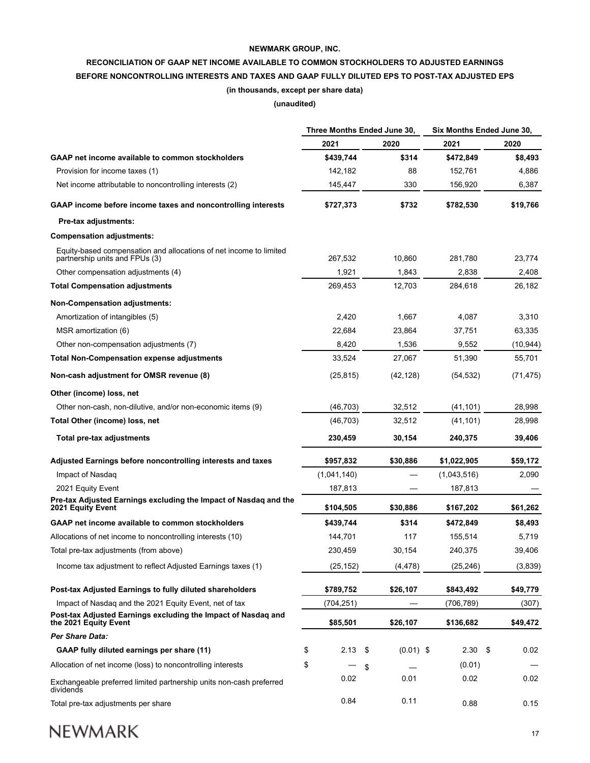#### **NEWMARK GROUP, INC.**

# **RECONCILIATION OF GAAP NET INCOME AVAILABLE TO COMMON STOCKHOLDERS TO ADJUSTED EARNINGS**

**BEFORE NONCONTROLLING INTERESTS AND TAXES AND GAAP FULLY DILUTED EPS TO POST-TAX ADJUSTED EPS**

## **(in thousands, except per share data)**

**(unaudited)**

|                                                                                                      |      |             | Three Months Ended June 30, | Six Months Ended June 30, |           |
|------------------------------------------------------------------------------------------------------|------|-------------|-----------------------------|---------------------------|-----------|
|                                                                                                      | 2021 |             | 2020                        | 2021                      | 2020      |
| <b>GAAP</b> net income available to common stockholders                                              |      | \$439,744   | \$314                       | \$472,849                 | \$8,493   |
| Provision for income taxes (1)                                                                       |      | 142,182     | 88                          | 152,761                   | 4,886     |
| Net income attributable to noncontrolling interests (2)                                              |      | 145,447     | 330                         | 156,920                   | 6,387     |
| GAAP income before income taxes and noncontrolling interests                                         |      | \$727,373   | \$732                       | \$782,530                 | \$19,766  |
| <b>Pre-tax adjustments:</b>                                                                          |      |             |                             |                           |           |
| <b>Compensation adjustments:</b>                                                                     |      |             |                             |                           |           |
| Equity-based compensation and allocations of net income to limited<br>partnership units and FPUs (3) |      | 267,532     | 10.860                      | 281,780                   | 23,774    |
| Other compensation adjustments (4)                                                                   |      | 1,921       | 1,843                       | 2,838                     | 2,408     |
| <b>Total Compensation adjustments</b>                                                                |      | 269,453     | 12,703                      | 284,618                   | 26,182    |
| <b>Non-Compensation adjustments:</b>                                                                 |      |             |                             |                           |           |
| Amortization of intangibles (5)                                                                      |      | 2,420       | 1,667                       | 4,087                     | 3,310     |
| MSR amortization (6)                                                                                 |      | 22,684      | 23.864                      | 37,751                    | 63,335    |
| Other non-compensation adjustments (7)                                                               |      | 8,420       | 1,536                       | 9,552                     | (10, 944) |
| <b>Total Non-Compensation expense adjustments</b>                                                    |      | 33,524      | 27,067                      | 51,390                    | 55,701    |
| Non-cash adjustment for OMSR revenue (8)                                                             |      | (25, 815)   | (42, 128)                   | (54, 532)                 | (71, 475) |
| Other (income) loss, net                                                                             |      |             |                             |                           |           |
| Other non-cash, non-dilutive, and/or non-economic items (9)                                          |      | (46, 703)   | 32,512                      | (41, 101)                 | 28,998    |
| Total Other (income) loss, net                                                                       |      | (46, 703)   | 32,512                      | (41, 101)                 | 28,998    |
| Total pre-tax adjustments                                                                            |      | 230,459     | 30,154                      | 240,375                   | 39,406    |
| Adjusted Earnings before noncontrolling interests and taxes                                          |      | \$957,832   | \$30,886                    | \$1,022,905               | \$59,172  |
| Impact of Nasdaq                                                                                     |      | (1,041,140) |                             | (1,043,516)               | 2,090     |
| 2021 Equity Event                                                                                    |      | 187,813     |                             | 187,813                   |           |
| Pre-tax Adjusted Earnings excluding the Impact of Nasdaq and the<br>2021 Equity Event                |      | \$104,505   | \$30,886                    | \$167,202                 | \$61,262  |
| <b>GAAP</b> net income available to common stockholders                                              |      | \$439,744   | \$314                       | \$472,849                 | \$8,493   |
| Allocations of net income to noncontrolling interests (10)                                           |      | 144,701     | 117                         | 155,514                   | 5,719     |
| Total pre-tax adjustments (from above)                                                               |      | 230,459     | 30,154                      | 240,375                   | 39,406    |
| Income tax adjustment to reflect Adjusted Earnings taxes (1)                                         |      | (25, 152)   | (4, 478)                    | (25, 246)                 | (3,839)   |
| Post-tax Adjusted Earnings to fully diluted shareholders                                             |      | \$789,752   | \$26,107                    | \$843,492                 | \$49,779  |
| Impact of Nasdag and the 2021 Equity Event, net of tax                                               |      | (704, 251)  |                             | (706, 789)                | (307)     |
| Post-tax Adjusted Earnings excluding the Impact of Nasdaq and<br>the 2021 Equity Event               |      | \$85,501    | \$26,107                    | \$136,682                 | \$49,472  |
| Per Share Data:                                                                                      |      |             |                             |                           |           |
| GAAP fully diluted earnings per share (11)                                                           | \$   | 2.13        | \$<br>$(0.01)$ \$           | $2.30$ \$                 | 0.02      |
| Allocation of net income (loss) to noncontrolling interests                                          | \$   |             | \$                          | (0.01)                    |           |
| Exchangeable preferred limited partnership units non-cash preferred<br>dividends                     |      | 0.02        | 0.01                        | 0.02                      | 0.02      |
| Total pre-tax adjustments per share                                                                  |      | 0.84        | 0.11                        | 0.88                      | 0.15      |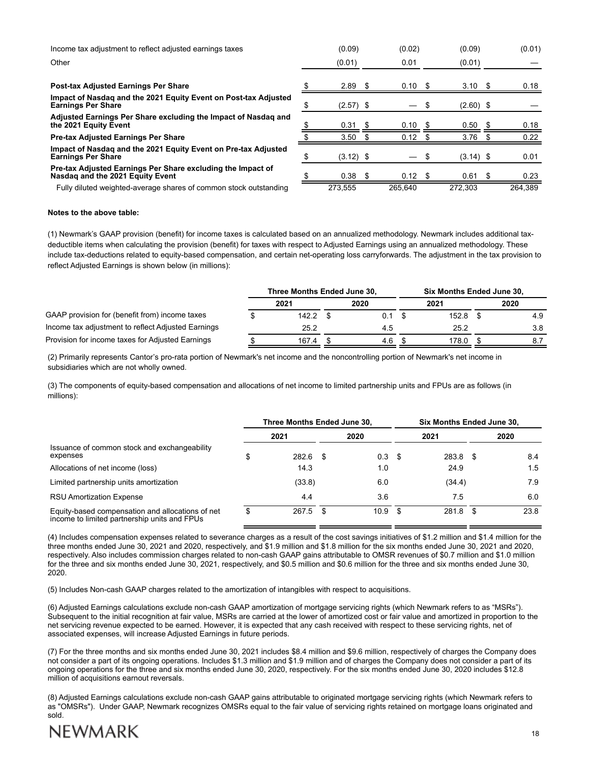| Income tax adjustment to reflect adjusted earnings taxes                                        |   | (0.09)          | (0.02)  |      | (0.09)          | (0.01)  |
|-------------------------------------------------------------------------------------------------|---|-----------------|---------|------|-----------------|---------|
| Other                                                                                           |   | (0.01)          | 0.01    |      | (0.01)          |         |
| Post-tax Adjusted Earnings Per Share                                                            |   | $2.89$ \$       | 0.10    | - \$ | $3.10 \quad$ \$ | 0.18    |
| Impact of Nasdaq and the 2021 Equity Event on Post-tax Adjusted<br><b>Earnings Per Share</b>    | S | $(2.57)$ \$     |         | \$   | $(2.60)$ \$     |         |
| Adjusted Earnings Per Share excluding the Impact of Nasdag and<br>the 2021 Equity Event         |   | $0.31 \quad$ \$ | 0.10    | - \$ | 0.50            | 0.18    |
| <b>Pre-tax Adjusted Earnings Per Share</b>                                                      |   | 3.50            | 0.12    | - \$ | 3.76            | 0.22    |
| Impact of Nasdag and the 2021 Equity Event on Pre-tax Adjusted<br><b>Earnings Per Share</b>     |   | $(3.12)$ \$     |         |      | $(3.14)$ \$     | 0.01    |
| Pre-tax Adjusted Earnings Per Share excluding the Impact of<br>Nasdag and the 2021 Equity Event |   | 0.38            | 0.12    |      | 0.61            | 0.23    |
| Fully diluted weighted-average shares of common stock outstanding                               |   | 273,555         | 265.640 |      | 272,303         | 264.389 |

#### **Notes to the above table:**

(1) Newmark's GAAP provision (benefit) for income taxes is calculated based on an annualized methodology. Newmark includes additional taxdeductible items when calculating the provision (benefit) for taxes with respect to Adjusted Earnings using an annualized methodology. These include tax-deductions related to equity-based compensation, and certain net-operating loss carryforwards. The adjustment in the tax provision to reflect Adjusted Earnings is shown below (in millions):

|                                                    | Three Months Ended June 30, |      | Six Months Ended June 30, |      |
|----------------------------------------------------|-----------------------------|------|---------------------------|------|
|                                                    | 2021                        | 2020 | 2021                      | 2020 |
| GAAP provision for (benefit from) income taxes     | 142.2                       | 0.1  | $152.8$ \$                | 4.9  |
| Income tax adjustment to reflect Adjusted Earnings | 25.2                        | 4.5  | 25.2                      | 3.8  |
| Provision for income taxes for Adjusted Earnings   | 167.4                       | 4.6  | 178.0                     |      |

(2) Primarily represents Cantor's pro-rata portion of Newmark's net income and the noncontrolling portion of Newmark's net income in subsidiaries which are not wholly owned.

(3) The components of equity-based compensation and allocations of net income to limited partnership units and FPUs are as follows (in millions):

|                                                                                                  |    | Three Months Ended June 30. |      |      | Six Months Ended June 30, |        |      |      |
|--------------------------------------------------------------------------------------------------|----|-----------------------------|------|------|---------------------------|--------|------|------|
|                                                                                                  |    | 2021                        |      | 2020 |                           | 2021   |      | 2020 |
| Issuance of common stock and exchangeability<br>expenses                                         | \$ | 282.6                       | - \$ | 0.3  | - \$                      | 283.8  |      | 8.4  |
| Allocations of net income (loss)                                                                 |    | 14.3                        |      | 1.0  |                           | 24.9   |      | 1.5  |
| Limited partnership units amortization                                                           |    | (33.8)                      |      | 6.0  |                           | (34.4) |      | 7.9  |
| <b>RSU Amortization Expense</b>                                                                  |    | 4.4                         |      | 3.6  |                           | 7.5    |      | 6.0  |
| Equity-based compensation and allocations of net<br>income to limited partnership units and FPUs | S  | 267.5                       | - \$ | 10.9 | S                         | 281.8  | - \$ | 23.8 |

(4) Includes compensation expenses related to severance charges as a result of the cost savings initiatives of \$1.2 million and \$1.4 million for the three months ended June 30, 2021 and 2020, respectively, and \$1.9 million and \$1.8 million for the six months ended June 30, 2021 and 2020, respectively. Also includes commission charges related to non-cash GAAP gains attributable to OMSR revenues of \$0.7 million and \$1.0 million for the three and six months ended June 30, 2021, respectively, and \$0.5 million and \$0.6 million for the three and six months ended June 30, 2020.

(5) Includes Non-cash GAAP charges related to the amortization of intangibles with respect to acquisitions.

(6) Adjusted Earnings calculations exclude non-cash GAAP amortization of mortgage servicing rights (which Newmark refers to as "MSRs"). Subsequent to the initial recognition at fair value, MSRs are carried at the lower of amortized cost or fair value and amortized in proportion to the net servicing revenue expected to be earned. However, it is expected that any cash received with respect to these servicing rights, net of associated expenses, will increase Adjusted Earnings in future periods.

(7) For the three months and six months ended June 30, 2021 includes \$8.4 million and \$9.6 million, respectively of charges the Company does not consider a part of its ongoing operations. Includes \$1.3 million and \$1.9 million and of charges the Company does not consider a part of its ongoing operations for the three and six months ended June 30, 2020, respectively. For the six months ended June 30, 2020 includes \$12.8 million of acquisitions earnout reversals.

(8) Adjusted Earnings calculations exclude non-cash GAAP gains attributable to originated mortgage servicing rights (which Newmark refers to as "OMSRs"). Under GAAP, Newmark recognizes OMSRs equal to the fair value of servicing rights retained on mortgage loans originated and sold.

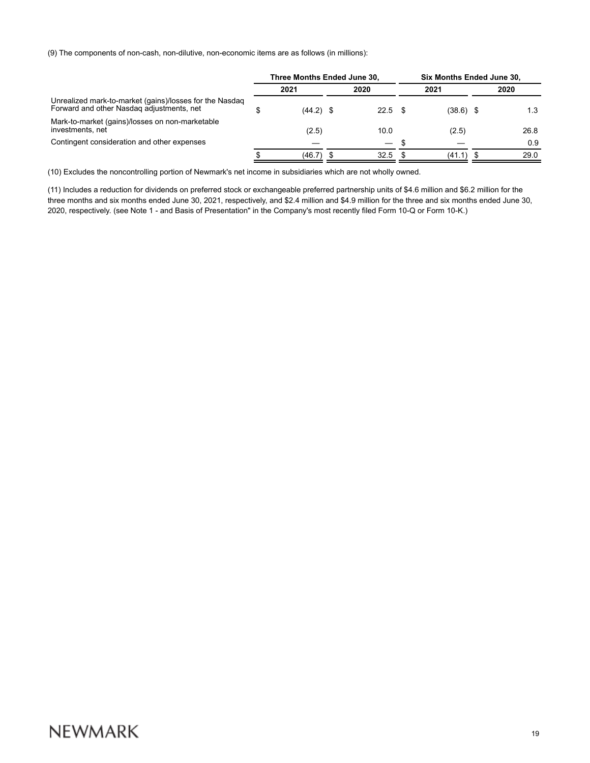(9) The components of non-cash, non-dilutive, non-economic items are as follows (in millions):

|                                                                                                      |             | Three Months Ended June 30, |                               |      |             | Six Months Ended June 30, |      |  |
|------------------------------------------------------------------------------------------------------|-------------|-----------------------------|-------------------------------|------|-------------|---------------------------|------|--|
|                                                                                                      | 2021        |                             | 2020                          |      | 2021        |                           | 2020 |  |
| Unrealized mark-to-market (gains)/losses for the Nasdaq<br>Forward and other Nasdag adjustments, net | $(44.2)$ \$ |                             | $22.5$ \$                     |      | $(38.6)$ \$ |                           | 1.3  |  |
| Mark-to-market (gains)/losses on non-marketable<br>investments, net                                  | (2.5)       |                             | 10.0                          |      | (2.5)       |                           | 26.8 |  |
| Contingent consideration and other expenses                                                          |             |                             | $\overbrace{\phantom{13333}}$ | - \$ |             |                           | 0.9  |  |
|                                                                                                      | (46.7)      |                             | 32.5                          |      | (41.1)      |                           | 29.0 |  |

(10) Excludes the noncontrolling portion of Newmark's net income in subsidiaries which are not wholly owned.

(11) Includes a reduction for dividends on preferred stock or exchangeable preferred partnership units of \$4.6 million and \$6.2 million for the three months and six months ended June 30, 2021, respectively, and \$2.4 million and \$4.9 million for the three and six months ended June 30, 2020, respectively. (see Note 1 - and Basis of Presentation" in the Company's most recently filed Form 10-Q or Form 10-K.)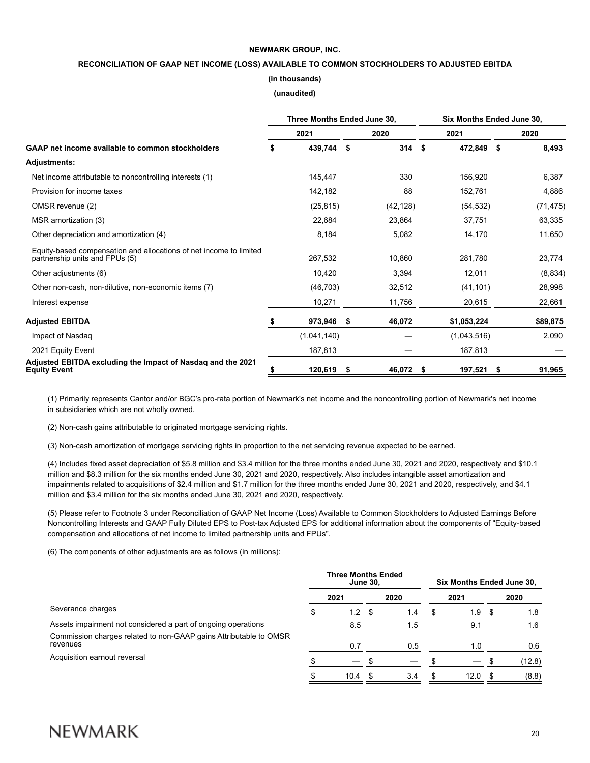#### **NEWMARK GROUP, INC.**

#### **RECONCILIATION OF GAAP NET INCOME (LOSS) AVAILABLE TO COMMON STOCKHOLDERS TO ADJUSTED EBITDA**

#### **(in thousands)**

#### **(unaudited)**

|                                                                                                      |   |             |      | Three Months Ended June 30. |   |             | <b>Six Months Ended June 30.</b> |           |
|------------------------------------------------------------------------------------------------------|---|-------------|------|-----------------------------|---|-------------|----------------------------------|-----------|
|                                                                                                      |   | 2021        |      | 2020                        |   | 2021        |                                  | 2020      |
| GAAP net income available to common stockholders                                                     | 5 | 439,744 \$  |      | 314S                        |   | 472,849     | - \$                             | 8,493     |
| <b>Adjustments:</b>                                                                                  |   |             |      |                             |   |             |                                  |           |
| Net income attributable to noncontrolling interests (1)                                              |   | 145,447     |      | 330                         |   | 156,920     |                                  | 6,387     |
| Provision for income taxes                                                                           |   | 142,182     |      | 88                          |   | 152,761     |                                  | 4,886     |
| OMSR revenue (2)                                                                                     |   | (25, 815)   |      | (42, 128)                   |   | (54, 532)   |                                  | (71, 475) |
| MSR amortization (3)                                                                                 |   | 22,684      |      | 23,864                      |   | 37,751      |                                  | 63,335    |
| Other depreciation and amortization (4)                                                              |   | 8,184       |      | 5,082                       |   | 14,170      |                                  | 11,650    |
| Equity-based compensation and allocations of net income to limited<br>partnership units and FPUs (5) |   | 267,532     |      | 10,860                      |   | 281,780     |                                  | 23,774    |
| Other adjustments (6)                                                                                |   | 10,420      |      | 3,394                       |   | 12,011      |                                  | (8,834)   |
| Other non-cash, non-dilutive, non-economic items (7)                                                 |   | (46, 703)   |      | 32,512                      |   | (41, 101)   |                                  | 28,998    |
| Interest expense                                                                                     |   | 10,271      |      | 11,756                      |   | 20,615      |                                  | 22,661    |
| <b>Adjusted EBITDA</b>                                                                               |   | 973,946     | - \$ | 46,072                      |   | \$1,053,224 |                                  | \$89,875  |
| Impact of Nasdag                                                                                     |   | (1,041,140) |      |                             |   | (1,043,516) |                                  | 2,090     |
| 2021 Equity Event                                                                                    |   | 187,813     |      |                             |   | 187,813     |                                  |           |
| Adjusted EBITDA excluding the Impact of Nasdaq and the 2021<br><b>Equity Event</b>                   |   | 120,619     | - 5  | 46,072                      | S | 197,521     | - \$                             | 91,965    |

(1) Primarily represents Cantor and/or BGC's pro-rata portion of Newmark's net income and the noncontrolling portion of Newmark's net income in subsidiaries which are not wholly owned.

(2) Non-cash gains attributable to originated mortgage servicing rights.

(3) Non-cash amortization of mortgage servicing rights in proportion to the net servicing revenue expected to be earned.

(4) Includes fixed asset depreciation of \$5.8 million and \$3.4 million for the three months ended June 30, 2021 and 2020, respectively and \$10.1 million and \$8.3 million for the six months ended June 30, 2021 and 2020, respectively. Also includes intangible asset amortization and impairments related to acquisitions of \$2.4 million and \$1.7 million for the three months ended June 30, 2021 and 2020, respectively, and \$4.1 million and \$3.4 million for the six months ended June 30, 2021 and 2020, respectively.

(5) Please refer to Footnote 3 under Reconciliation of GAAP Net Income (Loss) Available to Common Stockholders to Adjusted Earnings Before Noncontrolling Interests and GAAP Fully Diluted EPS to Post-tax Adjusted EPS for additional information about the components of "Equity-based compensation and allocations of net income to limited partnership units and FPUs".

(6) The components of other adjustments are as follows (in millions):

|                                                                               | <b>Three Months Ended</b><br><b>June 30,</b> |        |      | Six Months Ended June 30, |   |      |  |        |
|-------------------------------------------------------------------------------|----------------------------------------------|--------|------|---------------------------|---|------|--|--------|
|                                                                               |                                              | 2021   |      | 2020                      |   | 2021 |  | 2020   |
| Severance charges                                                             | \$                                           | 1.2    | - \$ | 1.4                       | S | 1.9  |  | 1.8    |
| Assets impairment not considered a part of ongoing operations                 |                                              | 8.5    |      | 1.5                       |   | 9.1  |  | 1.6    |
| Commission charges related to non-GAAP gains Attributable to OMSR<br>revenues |                                              | 0.7    |      | 0.5                       |   | 1.0  |  | 0.6    |
| Acquisition earnout reversal                                                  |                                              | $-$ \$ |      |                           |   |      |  | (12.8) |
|                                                                               |                                              | 10.4   |      | 3.4                       |   | 12.0 |  | (8.8)  |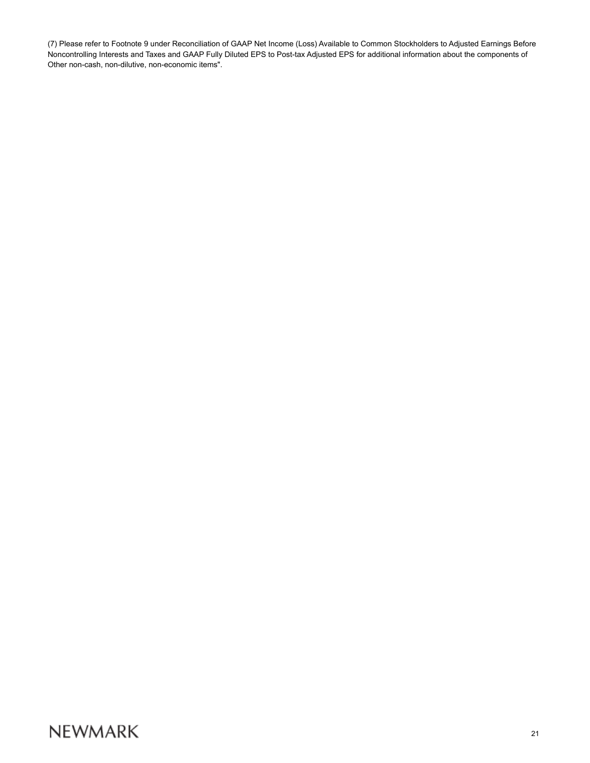(7) Please refer to Footnote 9 under Reconciliation of GAAP Net Income (Loss) Available to Common Stockholders to Adjusted Earnings Before Noncontrolling Interests and Taxes and GAAP Fully Diluted EPS to Post-tax Adjusted EPS for additional information about the components of Other non-cash, non-dilutive, non-economic items".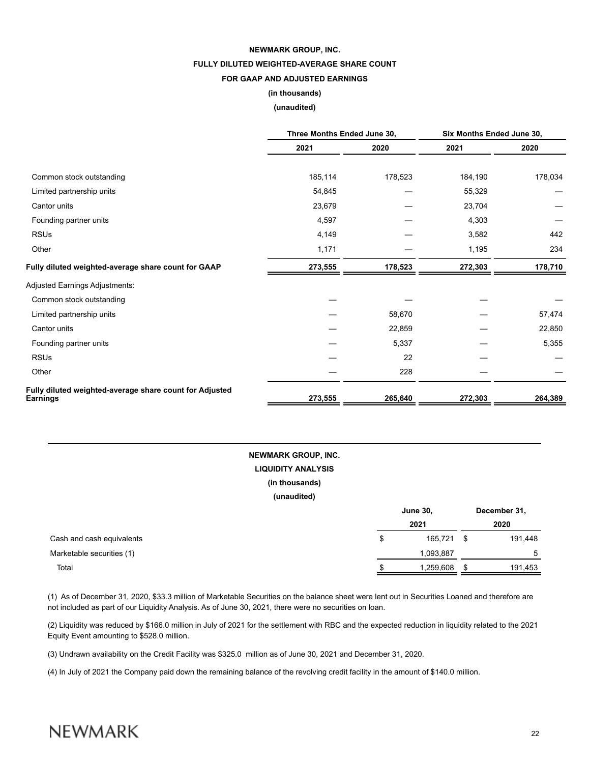# **NEWMARK GROUP, INC. FULLY DILUTED WEIGHTED-AVERAGE SHARE COUNT**

# **FOR GAAP AND ADJUSTED EARNINGS**

# **(in thousands)**

# **(unaudited)**

|                                                                            | Three Months Ended June 30, |         | Six Months Ended June 30, |         |  |  |
|----------------------------------------------------------------------------|-----------------------------|---------|---------------------------|---------|--|--|
|                                                                            | 2021                        | 2020    | 2021                      | 2020    |  |  |
| Common stock outstanding                                                   | 185,114                     | 178,523 | 184,190                   | 178,034 |  |  |
| Limited partnership units                                                  | 54,845                      |         | 55,329                    |         |  |  |
| Cantor units                                                               | 23,679                      |         | 23,704                    |         |  |  |
| Founding partner units                                                     | 4,597                       |         | 4,303                     |         |  |  |
| <b>RSUs</b>                                                                | 4,149                       |         | 3,582                     | 442     |  |  |
| Other                                                                      | 1,171                       |         | 1,195                     | 234     |  |  |
| Fully diluted weighted-average share count for GAAP                        | 273,555                     | 178,523 | 272,303                   | 178,710 |  |  |
| Adjusted Earnings Adjustments:                                             |                             |         |                           |         |  |  |
| Common stock outstanding                                                   |                             |         |                           |         |  |  |
| Limited partnership units                                                  |                             | 58,670  |                           | 57,474  |  |  |
| Cantor units                                                               |                             | 22,859  |                           | 22,850  |  |  |
| Founding partner units                                                     |                             | 5,337   |                           | 5,355   |  |  |
| <b>RSUs</b>                                                                |                             | 22      |                           |         |  |  |
| Other                                                                      |                             | 228     |                           |         |  |  |
| Fully diluted weighted-average share count for Adjusted<br><b>Earnings</b> | 273,555                     | 265,640 | 272,303                   | 264,389 |  |  |

# **NEWMARK GROUP, INC. LIQUIDITY ANALYSIS (in thousands) (unaudited)**

|                           |      | <b>June 30,</b> |     | December 31, |  |  |
|---------------------------|------|-----------------|-----|--------------|--|--|
|                           | 2021 |                 |     | 2020         |  |  |
| Cash and cash equivalents |      | 165.721         | \$. | 191,448      |  |  |
| Marketable securities (1) |      | 1,093,887       |     | 5            |  |  |
| Total                     |      | 1,259,608       |     | 191,453      |  |  |
|                           |      |                 |     |              |  |  |

(1) As of December 31, 2020, \$33.3 million of Marketable Securities on the balance sheet were lent out in Securities Loaned and therefore are not included as part of our Liquidity Analysis. As of June 30, 2021, there were no securities on loan.

(2) Liquidity was reduced by \$166.0 million in July of 2021 for the settlement with RBC and the expected reduction in liquidity related to the 2021 Equity Event amounting to \$528.0 million.

(3) Undrawn availability on the Credit Facility was \$325.0 million as of June 30, 2021 and December 31, 2020.

(4) In July of 2021 the Company paid down the remaining balance of the revolving credit facility in the amount of \$140.0 million.